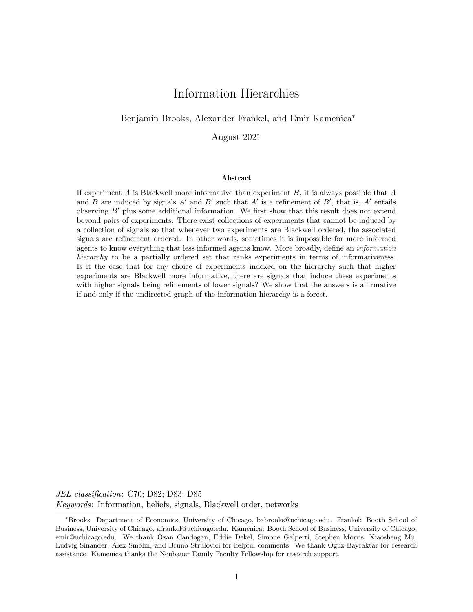# Information Hierarchies

### Benjamin Brooks, Alexander Frankel, and Emir Kamenica<sup>∗</sup>

August 2021

#### Abstract

If experiment A is Blackwell more informative than experiment  $B$ , it is always possible that  $A$ and B are induced by signals  $A'$  and  $B'$  such that  $A'$  is a refinement of  $B'$ , that is,  $A'$  entails observing  $B'$  plus some additional information. We first show that this result does not extend beyond pairs of experiments: There exist collections of experiments that cannot be induced by a collection of signals so that whenever two experiments are Blackwell ordered, the associated signals are refinement ordered. In other words, sometimes it is impossible for more informed agents to know everything that less informed agents know. More broadly, define an information hierarchy to be a partially ordered set that ranks experiments in terms of informativeness. Is it the case that for any choice of experiments indexed on the hierarchy such that higher experiments are Blackwell more informative, there are signals that induce these experiments with higher signals being refinements of lower signals? We show that the answers is affirmative if and only if the undirected graph of the information hierarchy is a forest.

JEL classification: C70; D82; D83; D85 Keywords: Information, beliefs, signals, Blackwell order, networks

<sup>∗</sup>Brooks: Department of Economics, University of Chicago, babrooks@uchicago.edu. Frankel: Booth School of Business, University of Chicago, afrankel@uchicago.edu. Kamenica: Booth School of Business, University of Chicago, emir@uchicago.edu. We thank Ozan Candogan, Eddie Dekel, Simone Galperti, Stephen Morris, Xiaosheng Mu, Ludvig Sinander, Alex Smolin, and Bruno Strulovici for helpful comments. We thank Oguz Bayraktar for research assistance. Kamenica thanks the Neubauer Family Faculty Fellowship for research support.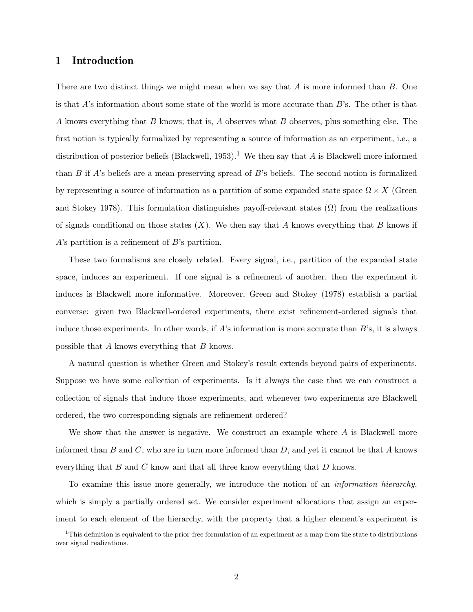# 1 Introduction

There are two distinct things we might mean when we say that A is more informed than B. One is that  $A$ 's information about some state of the world is more accurate than  $B$ 's. The other is that A knows everything that B knows; that is, A observes what B observes, plus something else. The first notion is typically formalized by representing a source of information as an experiment, i.e., a distribution of posterior beliefs (Blackwell, 1953).<sup>1</sup> We then say that A is Blackwell more informed than B if A's beliefs are a mean-preserving spread of B's beliefs. The second notion is formalized by representing a source of information as a partition of some expanded state space  $\Omega \times X$  (Green and Stokey 1978). This formulation distinguishes payoff-relevant states  $(\Omega)$  from the realizations of signals conditional on those states  $(X)$ . We then say that A knows everything that B knows if A's partition is a refinement of B's partition.

These two formalisms are closely related. Every signal, i.e., partition of the expanded state space, induces an experiment. If one signal is a refinement of another, then the experiment it induces is Blackwell more informative. Moreover, Green and Stokey (1978) establish a partial converse: given two Blackwell-ordered experiments, there exist refinement-ordered signals that induce those experiments. In other words, if  $A$ 's information is more accurate than  $B$ 's, it is always possible that A knows everything that B knows.

A natural question is whether Green and Stokey's result extends beyond pairs of experiments. Suppose we have some collection of experiments. Is it always the case that we can construct a collection of signals that induce those experiments, and whenever two experiments are Blackwell ordered, the two corresponding signals are refinement ordered?

We show that the answer is negative. We construct an example where A is Blackwell more informed than B and C, who are in turn more informed than  $D$ , and yet it cannot be that A knows everything that  $B$  and  $C$  know and that all three know everything that  $D$  knows.

To examine this issue more generally, we introduce the notion of an information hierarchy, which is simply a partially ordered set. We consider experiment allocations that assign an experiment to each element of the hierarchy, with the property that a higher element's experiment is

 $1$ This definition is equivalent to the prior-free formulation of an experiment as a map from the state to distributions over signal realizations.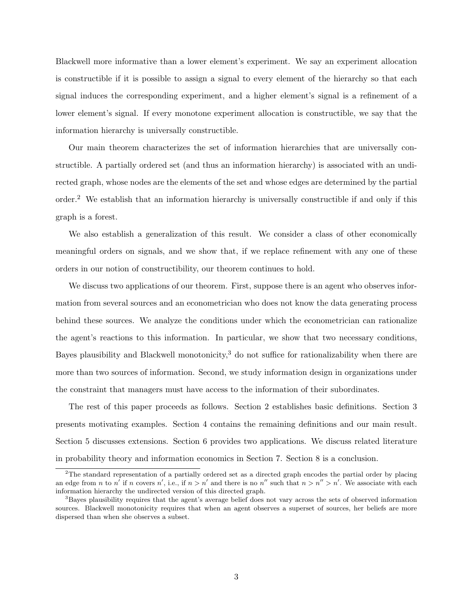Blackwell more informative than a lower element's experiment. We say an experiment allocation is constructible if it is possible to assign a signal to every element of the hierarchy so that each signal induces the corresponding experiment, and a higher element's signal is a refinement of a lower element's signal. If every monotone experiment allocation is constructible, we say that the information hierarchy is universally constructible.

Our main theorem characterizes the set of information hierarchies that are universally constructible. A partially ordered set (and thus an information hierarchy) is associated with an undirected graph, whose nodes are the elements of the set and whose edges are determined by the partial order.<sup>2</sup> We establish that an information hierarchy is universally constructible if and only if this graph is a forest.

We also establish a generalization of this result. We consider a class of other economically meaningful orders on signals, and we show that, if we replace refinement with any one of these orders in our notion of constructibility, our theorem continues to hold.

We discuss two applications of our theorem. First, suppose there is an agent who observes information from several sources and an econometrician who does not know the data generating process behind these sources. We analyze the conditions under which the econometrician can rationalize the agent's reactions to this information. In particular, we show that two necessary conditions, Bayes plausibility and Blackwell monotonicity,<sup>3</sup> do not suffice for rationalizability when there are more than two sources of information. Second, we study information design in organizations under the constraint that managers must have access to the information of their subordinates.

The rest of this paper proceeds as follows. Section 2 establishes basic definitions. Section 3 presents motivating examples. Section 4 contains the remaining definitions and our main result. Section 5 discusses extensions. Section 6 provides two applications. We discuss related literature in probability theory and information economics in Section 7. Section 8 is a conclusion.

<sup>&</sup>lt;sup>2</sup>The standard representation of a partially ordered set as a directed graph encodes the partial order by placing an edge from n to n' if n covers n', i.e., if  $n > n'$  and there is no n'' such that  $n > n'' > n'$ . We associate with each information hierarchy the undirected version of this directed graph.

<sup>&</sup>lt;sup>3</sup>Bayes plausibility requires that the agent's average belief does not vary across the sets of observed information sources. Blackwell monotonicity requires that when an agent observes a superset of sources, her beliefs are more dispersed than when she observes a subset.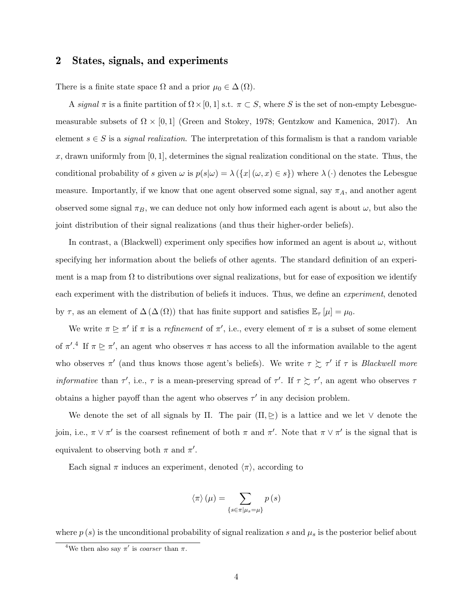# 2 States, signals, and experiments

There is a finite state space  $\Omega$  and a prior  $\mu_0 \in \Delta(\Omega)$ .

A signal  $\pi$  is a finite partition of  $\Omega \times [0, 1]$  s.t.  $\pi \subset S$ , where S is the set of non-empty Lebesguemeasurable subsets of  $\Omega \times [0,1]$  (Green and Stokey, 1978; Gentzkow and Kamenica, 2017). An element  $s \in S$  is a *signal realization*. The interpretation of this formalism is that a random variable x, drawn uniformly from  $[0, 1]$ , determines the signal realization conditional on the state. Thus, the conditional probability of s given  $\omega$  is  $p(s|\omega) = \lambda (\{x | (\omega, x) \in s\})$  where  $\lambda(\cdot)$  denotes the Lebesgue measure. Importantly, if we know that one agent observed some signal, say  $\pi_A$ , and another agent observed some signal  $\pi_B$ , we can deduce not only how informed each agent is about  $\omega$ , but also the joint distribution of their signal realizations (and thus their higher-order beliefs).

In contrast, a (Blackwell) experiment only specifies how informed an agent is about  $\omega$ , without specifying her information about the beliefs of other agents. The standard definition of an experiment is a map from  $\Omega$  to distributions over signal realizations, but for ease of exposition we identify each experiment with the distribution of beliefs it induces. Thus, we define an *experiment*, denoted by  $\tau$ , as an element of  $\Delta(\Delta(\Omega))$  that has finite support and satisfies  $\mathbb{E}_{\tau}[\mu] = \mu_0$ .

We write  $\pi \geq \pi'$  if  $\pi$  is a refinement of  $\pi'$ , i.e., every element of  $\pi$  is a subset of some element of  $\pi'^{A}$  If  $\pi \geq \pi'$ , an agent who observes  $\pi$  has access to all the information available to the agent who observes  $\pi'$  (and thus knows those agent's beliefs). We write  $\tau \gtrsim \tau'$  if  $\tau$  is *Blackwell more informative* than  $\tau'$ , i.e.,  $\tau$  is a mean-preserving spread of  $\tau'$ . If  $\tau \succeq \tau'$ , an agent who observes  $\tau$ obtains a higher payoff than the agent who observes  $\tau'$  in any decision problem.

We denote the set of all signals by  $\Pi$ . The pair  $(\Pi, \trianglerighteq)$  is a lattice and we let  $\vee$  denote the join, i.e.,  $\pi \vee \pi'$  is the coarsest refinement of both  $\pi$  and  $\pi'$ . Note that  $\pi \vee \pi'$  is the signal that is equivalent to observing both  $\pi$  and  $\pi'$ .

Each signal  $\pi$  induces an experiment, denoted  $\langle \pi \rangle$ , according to

$$
\langle \pi \rangle (\mu) = \sum_{\{s \in \pi | \mu_s = \mu\}} p(s)
$$

where  $p(s)$  is the unconditional probability of signal realization s and  $\mu_s$  is the posterior belief about

<sup>&</sup>lt;sup>4</sup>We then also say  $\pi'$  is *coarser* than  $\pi$ .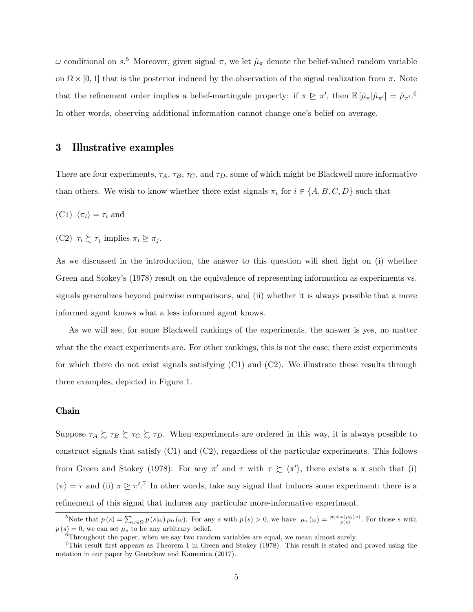$ω$  conditional on  $s$ <sup>5</sup>. Moreover, given signal π, we let  $\tilde{\mu}_{π}$  denote the belief-valued random variable on  $\Omega \times [0, 1]$  that is the posterior induced by the observation of the signal realization from  $\pi$ . Note that the refinement order implies a belief-martingale property: if  $\pi \geq \pi'$ , then  $\mathbb{E}[\tilde{\mu}_{\pi}|\tilde{\mu}_{\pi'}] = \tilde{\mu}_{\pi'}$ .<sup>6</sup> In other words, observing additional information cannot change one's belief on average.

# 3 Illustrative examples

There are four experiments,  $\tau_A$ ,  $\tau_B$ ,  $\tau_C$ , and  $\tau_D$ , some of which might be Blackwell more informative than others. We wish to know whether there exist signals  $\pi_i$  for  $i \in \{A, B, C, D\}$  such that

- (C1)  $\langle \pi_i \rangle = \tau_i$  and
- (C2)  $\tau_i \succsim \tau_j$  implies  $\pi_i \trianglerighteq \pi_j$ .

As we discussed in the introduction, the answer to this question will shed light on (i) whether Green and Stokey's (1978) result on the equivalence of representing information as experiments vs. signals generalizes beyond pairwise comparisons, and (ii) whether it is always possible that a more informed agent knows what a less informed agent knows.

As we will see, for some Blackwell rankings of the experiments, the answer is yes, no matter what the the exact experiments are. For other rankings, this is not the case; there exist experiments for which there do not exist signals satisfying (C1) and (C2). We illustrate these results through three examples, depicted in Figure 1.

#### Chain

Suppose  $\tau_A \gtrsim \tau_B \gtrsim \tau_C \gtrsim \tau_D$ . When experiments are ordered in this way, it is always possible to construct signals that satisfy (C1) and (C2), regardless of the particular experiments. This follows from Green and Stokey (1978): For any  $\pi'$  and  $\tau$  with  $\tau \gtrsim \langle \pi' \rangle$ , there exists a  $\pi$  such that (i)  $\langle \pi \rangle = \tau$  and (ii)  $\pi \geq \pi'$ .<sup>7</sup> In other words, take any signal that induces some experiment; there is a refinement of this signal that induces any particular more-informative experiment.

<sup>&</sup>lt;sup>5</sup>Note that  $p(s) = \sum_{\omega \in \Omega} p(s|\omega) \mu_0(\omega)$ . For any s with  $p(s) > 0$ , we have  $\mu_s(\omega) = \frac{p(s|\omega)\mu_0(\omega)}{p(s)}$ . For those s with  $p(s) = 0$ , we can set  $\mu_s$  to be any arbitrary belief.

 $6$ Throughout the paper, when we say two random variables are equal, we mean almost surely.

<sup>7</sup>This result first appears as Theorem 1 in Green and Stokey (1978). This result is stated and proved using the notation in our paper by Gentzkow and Kamenica (2017).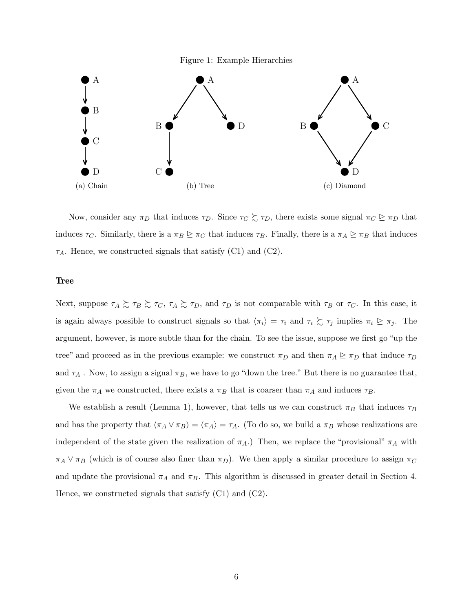Figure 1: Example Hierarchies



Now, consider any  $\pi_D$  that induces  $\tau_D$ . Since  $\tau_C \succsim \tau_D$ , there exists some signal  $\pi_C \trianglerighteq \pi_D$  that induces  $\tau_C$ . Similarly, there is a  $\pi_B \trianglerighteq \pi_C$  that induces  $\tau_B$ . Finally, there is a  $\pi_A \trianglerighteq \pi_B$  that induces  $\tau_A$ . Hence, we constructed signals that satisfy (C1) and (C2).

### Tree

Next, suppose  $\tau_A \gtrsim \tau_B \gtrsim \tau_C$ ,  $\tau_A \gtrsim \tau_D$ , and  $\tau_D$  is not comparable with  $\tau_B$  or  $\tau_C$ . In this case, it is again always possible to construct signals so that  $\langle \pi_i \rangle = \tau_i$  and  $\tau_i \succsim \tau_j$  implies  $\pi_i \trianglerighteq \pi_j$ . The argument, however, is more subtle than for the chain. To see the issue, suppose we first go "up the tree" and proceed as in the previous example: we construct  $\pi_D$  and then  $\pi_A \geq \pi_D$  that induce  $\tau_D$ and  $\tau_A$ . Now, to assign a signal  $\pi_B$ , we have to go "down the tree." But there is no guarantee that, given the  $\pi_A$  we constructed, there exists a  $\pi_B$  that is coarser than  $\pi_A$  and induces  $\tau_B$ .

We establish a result (Lemma 1), however, that tells us we can construct  $\pi_B$  that induces  $\tau_B$ and has the property that  $\langle \pi_A \vee \pi_B \rangle = \langle \pi_A \rangle = \tau_A$ . (To do so, we build a  $\pi_B$  whose realizations are independent of the state given the realization of  $\pi_A$ .) Then, we replace the "provisional"  $\pi_A$  with  $\pi_A \vee \pi_B$  (which is of course also finer than  $\pi_D$ ). We then apply a similar procedure to assign  $\pi_C$ and update the provisional  $\pi_A$  and  $\pi_B$ . This algorithm is discussed in greater detail in Section 4. Hence, we constructed signals that satisfy (C1) and (C2).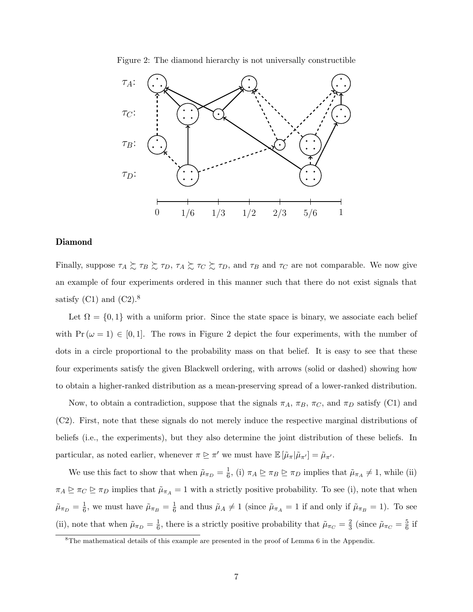

Figure 2: The diamond hierarchy is not universally constructible

### Diamond

Finally, suppose  $\tau_A \succeq \tau_B \succeq \tau_D$ ,  $\tau_A \succeq \tau_C \succeq \tau_D$ , and  $\tau_B$  and  $\tau_C$  are not comparable. We now give an example of four experiments ordered in this manner such that there do not exist signals that satisfy  $(C1)$  and  $(C2).<sup>8</sup>$ 

Let  $\Omega = \{0,1\}$  with a uniform prior. Since the state space is binary, we associate each belief with  $Pr(\omega = 1) \in [0, 1]$ . The rows in Figure 2 depict the four experiments, with the number of dots in a circle proportional to the probability mass on that belief. It is easy to see that these four experiments satisfy the given Blackwell ordering, with arrows (solid or dashed) showing how to obtain a higher-ranked distribution as a mean-preserving spread of a lower-ranked distribution.

Now, to obtain a contradiction, suppose that the signals  $\pi_A$ ,  $\pi_B$ ,  $\pi_C$ , and  $\pi_D$  satisfy (C1) and (C2). First, note that these signals do not merely induce the respective marginal distributions of beliefs (i.e., the experiments), but they also determine the joint distribution of these beliefs. In particular, as noted earlier, whenever  $\pi \trianglerighteq \pi'$  we must have  $\mathbb{E}[\tilde{\mu}_{\pi}|\tilde{\mu}_{\pi'}] = \tilde{\mu}_{\pi'}$ .

We use this fact to show that when  $\tilde{\mu}_{\pi_D} = \frac{1}{6}$  $\frac{1}{6}$ , (i)  $\pi_A \trianglerighteq \pi_B \trianglerighteq \pi_D$  implies that  $\tilde{\mu}_{\pi_A} \neq 1$ , while (ii)  $\pi_A \trianglerighteq \pi_C \trianglerighteq \pi_D$  implies that  $\tilde{\mu}_{\pi_A} = 1$  with a strictly positive probability. To see (i), note that when  $\tilde{\mu}_{\pi_D} = \frac{1}{6}$  $\frac{1}{6}$ , we must have  $\tilde{\mu}_{\pi_B} = \frac{1}{6}$  $\frac{1}{6}$  and thus  $\tilde{\mu}_A \neq 1$  (since  $\tilde{\mu}_{\pi_A} = 1$  if and only if  $\tilde{\mu}_{\pi_B} = 1$ ). To see (ii), note that when  $\tilde{\mu}_{\pi_D} = \frac{1}{6}$  $\frac{1}{6}$ , there is a strictly positive probability that  $\tilde{\mu}_{\pi_C} = \frac{2}{3}$  $\frac{2}{3}$  (since  $\tilde{\mu}_{\pi_C} = \frac{5}{6}$  $\frac{5}{6}$  if

<sup>&</sup>lt;sup>8</sup>The mathematical details of this example are presented in the proof of Lemma 6 in the Appendix.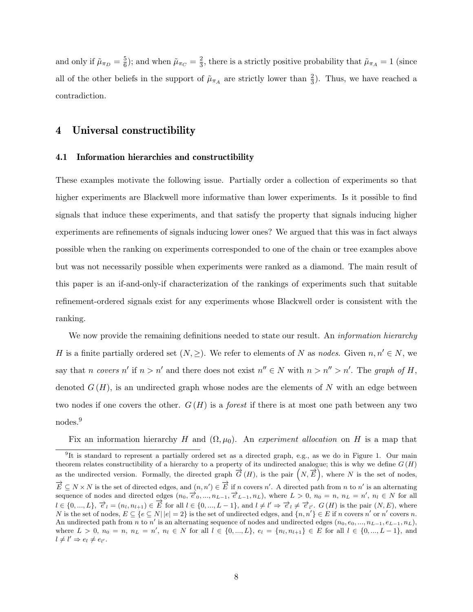and only if  $\tilde{\mu}_{\pi_D} = \frac{5}{6}$  $(\frac{5}{6})$ ; and when  $\tilde{\mu}_{\pi_C} = \frac{2}{3}$  $\frac{2}{3}$ , there is a strictly positive probability that  $\tilde{\mu}_{\pi_A} = 1$  (since all of the other beliefs in the support of  $\tilde{\mu}_{\pi_A}$  are strictly lower than  $\frac{2}{3}$ ). Thus, we have reached a contradiction.

# 4 Universal constructibility

### 4.1 Information hierarchies and constructibility

These examples motivate the following issue. Partially order a collection of experiments so that higher experiments are Blackwell more informative than lower experiments. Is it possible to find signals that induce these experiments, and that satisfy the property that signals inducing higher experiments are refinements of signals inducing lower ones? We argued that this was in fact always possible when the ranking on experiments corresponded to one of the chain or tree examples above but was not necessarily possible when experiments were ranked as a diamond. The main result of this paper is an if-and-only-if characterization of the rankings of experiments such that suitable refinement-ordered signals exist for any experiments whose Blackwell order is consistent with the ranking.

We now provide the remaining definitions needed to state our result. An *information hierarchy* H is a finite partially ordered set  $(N, \geq)$ . We refer to elements of N as nodes. Given  $n, n' \in N$ , we say that n covers n' if  $n > n'$  and there does not exist  $n'' \in N$  with  $n > n'' > n'$ . The graph of H, denoted  $G(H)$ , is an undirected graph whose nodes are the elements of N with an edge between two nodes if one covers the other.  $G(H)$  is a *forest* if there is at most one path between any two nodes.<sup>9</sup>

Fix an information hierarchy H and  $(\Omega, \mu_0)$ . An experiment allocation on H is a map that

<sup>&</sup>lt;sup>9</sup>It is standard to represent a partially ordered set as a directed graph, e.g., as we do in Figure 1. Our main theorem relates constructibility of a hierarchy to a property of its undirected analogue; this is why we define  $G(H)$ as the undirected version. Formally, the directed graph  $\overrightarrow{G}(H)$ , is the pair  $\overrightarrow{(N,E)}$ , where N is the set of nodes,  $\overrightarrow{E} \subseteq N \times N$  is the set of directed edges, and  $(n, n') \in \overrightarrow{E}$  if n covers n'. A directed path from n to n' is an alternating sequence of nodes and directed edges  $(n_0, \vec{e}_0, ..., n_{L-1}, \vec{e}_{L-1}, n_L)$ , where  $L > 0$ ,  $n_0 = n$ ,  $n_L = n'$ ,  $n_l \in N$  for all  $l \in \{0, ..., L\}, \vec{e}_l = (n_l, n_{l+1}) \in \vec{E}$  for all  $l \in \{0, ..., L-1\},$  and  $l \neq l' \Rightarrow \vec{e}_l \neq \vec{e}_{l'}$ .  $G(H)$  is the pair  $(N, E)$ , where N is the set of nodes,  $E \subseteq \{e \subseteq N \mid |e| = 2\}$  is the set of undirected edges, and  $\{n, n'\} \in E$  if n covers n' or n' covers n. An undirected path from n to n' is an alternating sequence of nodes and undirected edges  $(n_0, e_0, ..., n_{L-1}, e_{L-1}, n_L)$ , where  $L > 0$ ,  $n_0 = n$ ,  $n_L = n'$ ,  $n_l \in N$  for all  $l \in \{0, ..., L\}$ ,  $e_l = \{n_l, n_{l+1}\} \in E$  for all  $l \in \{0, ..., L-1\}$ , and  $l \neq l' \Rightarrow e_l \neq e_{l'}.$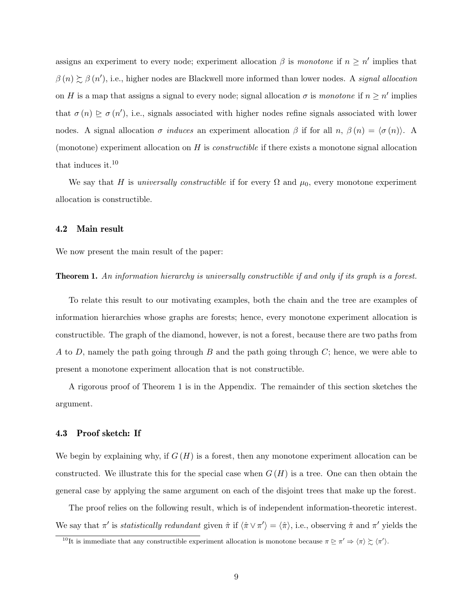assigns an experiment to every node; experiment allocation  $\beta$  is monotone if  $n \geq n'$  implies that  $\beta(n) \gtrsim \beta(n')$ , i.e., higher nodes are Blackwell more informed than lower nodes. A signal allocation on H is a map that assigns a signal to every node; signal allocation  $\sigma$  is monotone if  $n \geq n'$  implies that  $\sigma(n) \geq \sigma(n')$ , i.e., signals associated with higher nodes refine signals associated with lower nodes. A signal allocation  $\sigma$  *induces* an experiment allocation  $\beta$  if for all  $n, \beta(n) = \langle \sigma(n) \rangle$ . A (monotone) experiment allocation on  $H$  is *constructible* if there exists a monotone signal allocation that induces it.<sup>10</sup>

We say that H is universally constructible if for every  $\Omega$  and  $\mu_0$ , every monotone experiment allocation is constructible.

### 4.2 Main result

We now present the main result of the paper:

Theorem 1. An information hierarchy is universally constructible if and only if its graph is a forest.

To relate this result to our motivating examples, both the chain and the tree are examples of information hierarchies whose graphs are forests; hence, every monotone experiment allocation is constructible. The graph of the diamond, however, is not a forest, because there are two paths from A to D, namely the path going through B and the path going through  $C$ ; hence, we were able to present a monotone experiment allocation that is not constructible.

A rigorous proof of Theorem 1 is in the Appendix. The remainder of this section sketches the argument.

#### 4.3 Proof sketch: If

We begin by explaining why, if  $G(H)$  is a forest, then any monotone experiment allocation can be constructed. We illustrate this for the special case when  $G(H)$  is a tree. One can then obtain the general case by applying the same argument on each of the disjoint trees that make up the forest.

The proof relies on the following result, which is of independent information-theoretic interest. We say that  $\pi'$  is *statistically redundant* given  $\hat{\pi}$  if  $\langle \hat{\pi} \vee \pi' \rangle = \langle \hat{\pi} \rangle$ , i.e., observing  $\hat{\pi}$  and  $\pi'$  yields the

<sup>&</sup>lt;sup>10</sup>It is immediate that any constructible experiment allocation is monotone because  $\pi \trianglerighteq \pi' \Rightarrow \langle \pi \rangle \succsim \langle \pi' \rangle$ .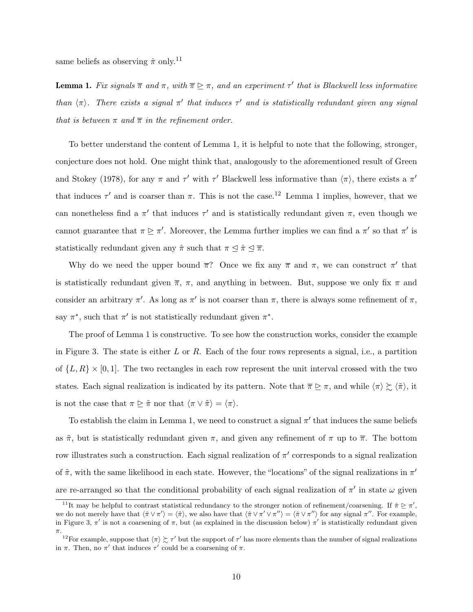same beliefs as observing  $\hat{\pi}$  only.<sup>11</sup>

**Lemma 1.** Fix signals  $\overline{\pi}$  and  $\pi$ , with  $\overline{\pi} \geq \pi$ , and an experiment  $\tau'$  that is Blackwell less informative than  $\langle \pi \rangle$ . There exists a signal  $\pi'$  that induces  $\tau'$  and is statistically redundant given any signal that is between  $\pi$  and  $\overline{\pi}$  in the refinement order.

To better understand the content of Lemma 1, it is helpful to note that the following, stronger, conjecture does not hold. One might think that, analogously to the aforementioned result of Green and Stokey (1978), for any  $\pi$  and  $\tau'$  with  $\tau'$  Blackwell less informative than  $\langle \pi \rangle$ , there exists a  $\pi'$ that induces  $\tau'$  and is coarser than  $\pi$ . This is not the case.<sup>12</sup> Lemma 1 implies, however, that we can nonetheless find a  $\pi'$  that induces  $\tau'$  and is statistically redundant given  $\pi$ , even though we cannot guarantee that  $\pi \geq \pi'$ . Moreover, the Lemma further implies we can find a  $\pi'$  so that  $\pi'$  is statistically redundant given any  $\hat{\pi}$  such that  $\pi \leq \hat{\pi} \leq \overline{\pi}$ .

Why do we need the upper bound  $\bar{\pi}$ ? Once we fix any  $\bar{\pi}$  and  $\pi$ , we can construct  $\pi'$  that is statistically redundant given  $\overline{\pi}$ ,  $\pi$ , and anything in between. But, suppose we only fix  $\pi$  and consider an arbitrary  $\pi'$ . As long as  $\pi'$  is not coarser than  $\pi$ , there is always some refinement of  $\pi$ , say  $\pi^*$ , such that  $\pi'$  is not statistically redundant given  $\pi^*$ .

The proof of Lemma 1 is constructive. To see how the construction works, consider the example in Figure 3. The state is either L or R. Each of the four rows represents a signal, i.e., a partition of  $\{L, R\} \times [0, 1]$ . The two rectangles in each row represent the unit interval crossed with the two states. Each signal realization is indicated by its pattern. Note that  $\bar{\pi} \geq \pi$ , and while  $\langle \pi \rangle \gtrsim \langle \tilde{\pi} \rangle$ , it is not the case that  $\pi \trianglerighteq \tilde{\pi}$  nor that  $\langle \pi \vee \tilde{\pi} \rangle = \langle \pi \rangle$ .

To establish the claim in Lemma 1, we need to construct a signal  $\pi'$  that induces the same beliefs as  $\tilde{\pi}$ , but is statistically redundant given  $\pi$ , and given any refinement of  $\pi$  up to  $\overline{\pi}$ . The bottom row illustrates such a construction. Each signal realization of  $\pi'$  corresponds to a signal realization of  $\tilde{\pi}$ , with the same likelihood in each state. However, the "locations" of the signal realizations in  $\pi'$ are re-arranged so that the conditional probability of each signal realization of  $\pi'$  in state  $\omega$  given

<sup>&</sup>lt;sup>11</sup>It may be helpful to contrast statistical redundancy to the stronger notion of refinement/coarsening. If  $\hat{\pi} \geq \pi'$ , we do not merely have that  $\langle \hat{\pi} \vee \pi' \rangle = \langle \hat{\pi} \rangle$ , we also have that  $\langle \hat{\pi} \vee \pi'' \vee \pi'' \rangle = \langle \hat{\pi} \vee \pi'' \rangle$  for any signal  $\pi''$ . For example, in Figure 3,  $\pi'$  is not a coarsening of  $\pi$ , but (as explained in the discussion below)  $\pi'$  is statistically redundant given π.

<sup>&</sup>lt;sup>12</sup>For example, suppose that  $\langle \pi \rangle \gtrsim \tau'$  but the support of  $\tau'$  has more elements than the number of signal realizations in  $\pi$ . Then, no  $\pi'$  that induces  $\tau'$  could be a coarsening of  $\pi$ .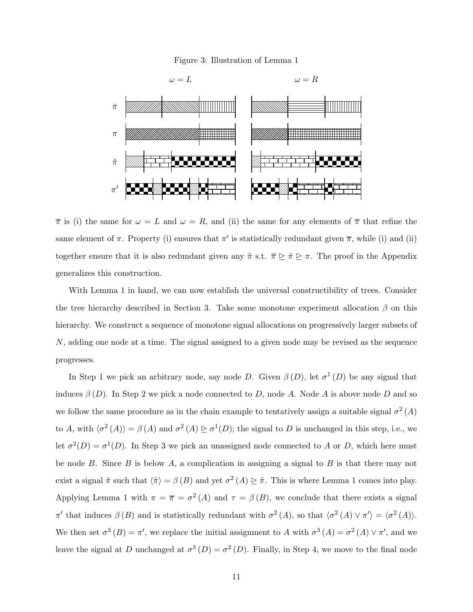#### Figure 3: Illustration of Lemma 1



 $\bar{\pi}$  is (i) the same for  $\omega = L$  and  $\omega = R$ , and (ii) the same for any elements of  $\bar{\pi}$  that refine the same element of  $\pi$ . Property (i) ensures that  $\pi'$  is statistically redundant given  $\overline{\pi}$ , while (i) and (ii) together ensure that it is also redundant given any  $\hat{\pi}$  s.t.  $\overline{\pi} \geq \hat{\pi} \geq \pi$ . The proof in the Appendix generalizes this construction.

With Lemma 1 in hand, we can now establish the universal constructibility of trees. Consider the tree hierarchy described in Section 3. Take some monotone experiment allocation  $\beta$  on this hierarchy. We construct a sequence of monotone signal allocations on progressively larger subsets of N, adding one node at a time. The signal assigned to a given node may be revised as the sequence progresses.

In Step 1 we pick an arbitrary node, say node D. Given  $\beta(D)$ , let  $\sigma^1(D)$  be any signal that induces  $\beta(D)$ . In Step 2 we pick a node connected to D, node A. Node A is above node D and so we follow the same procedure as in the chain example to tentatively assign a suitable signal  $\sigma^2(A)$ to A, with  $\langle \sigma^2(A) \rangle = \beta(A)$  and  $\sigma^2(A) \ge \sigma^1(D)$ ; the signal to D is unchanged in this step, i.e., we let  $\sigma^2(D) = \sigma^1(D)$ . In Step 3 we pick an unassigned node connected to A or D, which here must be node  $B$ . Since  $B$  is below  $A$ , a complication in assigning a signal to  $B$  is that there may not exist a signal  $\tilde{\pi}$  such that  $\langle \tilde{\pi} \rangle = \beta(B)$  and yet  $\sigma^2(A) \geq \tilde{\pi}$ . This is where Lemma 1 comes into play. Applying Lemma 1 with  $\pi = \bar{\pi} = \sigma^2(A)$  and  $\tau = \beta(B)$ , we conclude that there exists a signal π' that induces  $\beta(B)$  and is statistically redundant with  $\sigma^2(A)$ , so that  $\langle \sigma^2(A) \vee \pi' \rangle = \langle \sigma^2(A) \rangle$ . We then set  $\sigma^3(B) = \pi'$ , we replace the initial assignment to A with  $\sigma^3(A) = \sigma^2(A) \vee \pi'$ , and we leave the signal at D unchanged at  $\sigma^3(D) = \sigma^2(D)$ . Finally, in Step 4, we move to the final node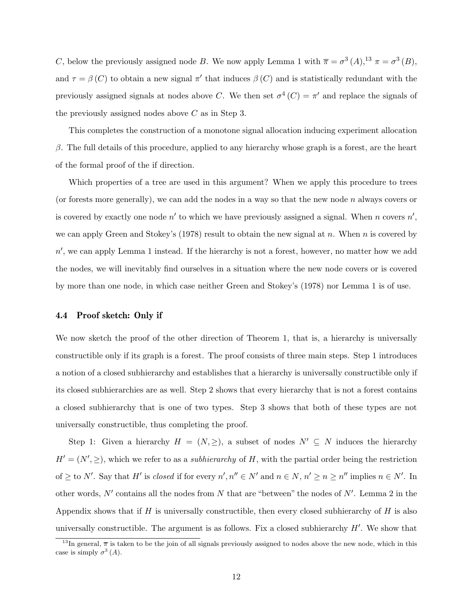C, below the previously assigned node B. We now apply Lemma 1 with  $\bar{\pi} = \sigma^3(A)$ ,  $^{13} \pi = \sigma^3(B)$ , and  $\tau = \beta(C)$  to obtain a new signal  $\pi'$  that induces  $\beta(C)$  and is statistically redundant with the previously assigned signals at nodes above C. We then set  $\sigma^4(C) = \pi'$  and replace the signals of the previously assigned nodes above  $C$  as in Step 3.

This completes the construction of a monotone signal allocation inducing experiment allocation  $β$ . The full details of this procedure, applied to any hierarchy whose graph is a forest, are the heart of the formal proof of the if direction.

Which properties of a tree are used in this argument? When we apply this procedure to trees (or forests more generally), we can add the nodes in a way so that the new node  $n$  always covers or is covered by exactly one node  $n'$  to which we have previously assigned a signal. When n covers  $n'$ , we can apply Green and Stokey's (1978) result to obtain the new signal at n. When n is covered by  $n'$ , we can apply Lemma 1 instead. If the hierarchy is not a forest, however, no matter how we add the nodes, we will inevitably find ourselves in a situation where the new node covers or is covered by more than one node, in which case neither Green and Stokey's (1978) nor Lemma 1 is of use.

#### 4.4 Proof sketch: Only if

We now sketch the proof of the other direction of Theorem 1, that is, a hierarchy is universally constructible only if its graph is a forest. The proof consists of three main steps. Step 1 introduces a notion of a closed subhierarchy and establishes that a hierarchy is universally constructible only if its closed subhierarchies are as well. Step 2 shows that every hierarchy that is not a forest contains a closed subhierarchy that is one of two types. Step 3 shows that both of these types are not universally constructible, thus completing the proof.

Step 1: Given a hierarchy  $H = (N, \geq),$  a subset of nodes  $N' \subseteq N$  induces the hierarchy  $H' = (N', \geq),$  which we refer to as a *subhierarchy* of H, with the partial order being the restriction of  $\geq$  to N'. Say that H' is closed if for every  $n', n'' \in N'$  and  $n \in N$ ,  $n' \geq n \geq n''$  implies  $n \in N'$ . In other words,  $N'$  contains all the nodes from N that are "between" the nodes of  $N'$ . Lemma 2 in the Appendix shows that if H is universally constructible, then every closed subhierarchy of H is also universally constructible. The argument is as follows. Fix a closed subhierarchy  $H'$ . We show that

<sup>&</sup>lt;sup>13</sup>In general,  $\bar{\pi}$  is taken to be the join of all signals previously assigned to nodes above the new node, which in this case is simply  $\sigma^3(A)$ .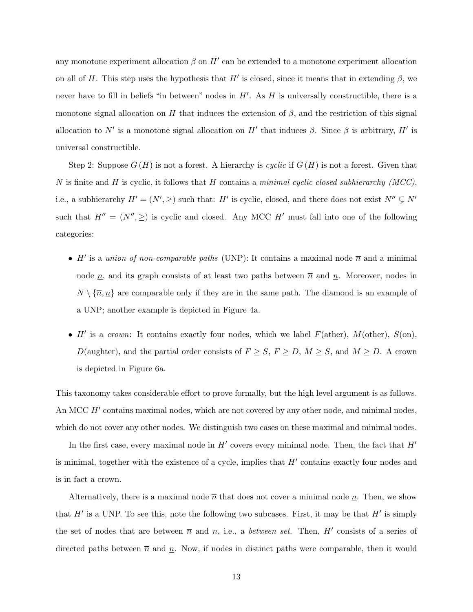any monotone experiment allocation  $\beta$  on  $H'$  can be extended to a monotone experiment allocation on all of H. This step uses the hypothesis that H' is closed, since it means that in extending  $\beta$ , we never have to fill in beliefs "in between" nodes in  $H'$ . As  $H$  is universally constructible, there is a monotone signal allocation on H that induces the extension of  $\beta$ , and the restriction of this signal allocation to N' is a monotone signal allocation on H' that induces  $\beta$ . Since  $\beta$  is arbitrary, H' is universal constructible.

Step 2: Suppose  $G(H)$  is not a forest. A hierarchy is cyclic if  $G(H)$  is not a forest. Given that N is finite and H is cyclic, it follows that H contains a minimal cyclic closed subhierarchy (MCC), i.e., a subhierarchy  $H' = (N', \geq)$  such that: H' is cyclic, closed, and there does not exist  $N'' \subsetneq N'$ such that  $H'' = (N'', \geq)$  is cyclic and closed. Any MCC H' must fall into one of the following categories:

- H' is a union of non-comparable paths (UNP): It contains a maximal node  $\overline{n}$  and a minimal node  $\underline{n}$ , and its graph consists of at least two paths between  $\overline{n}$  and  $\underline{n}$ . Moreover, nodes in  $N \setminus {\overline{n}, \underline{n}}$  are comparable only if they are in the same path. The diamond is an example of a UNP; another example is depicted in Figure 4a.
- H' is a crown: It contains exactly four nodes, which we label  $F(\text{ather})$ ,  $M(\text{other})$ ,  $S(\text{on})$ , D(aughter), and the partial order consists of  $F \geq S$ ,  $F \geq D$ ,  $M \geq S$ , and  $M \geq D$ . A crown is depicted in Figure 6a.

This taxonomy takes considerable effort to prove formally, but the high level argument is as follows. An MCC  $H'$  contains maximal nodes, which are not covered by any other node, and minimal nodes, which do not cover any other nodes. We distinguish two cases on these maximal and minimal nodes.

In the first case, every maximal node in  $H'$  covers every minimal node. Then, the fact that  $H'$ is minimal, together with the existence of a cycle, implies that  $H'$  contains exactly four nodes and is in fact a crown.

Alternatively, there is a maximal node  $\bar{n}$  that does not cover a minimal node  $\underline{n}$ . Then, we show that  $H'$  is a UNP. To see this, note the following two subcases. First, it may be that  $H'$  is simply the set of nodes that are between  $\overline{n}$  and  $\underline{n}$ , i.e., a *between set*. Then, H' consists of a series of directed paths between  $\overline{n}$  and n. Now, if nodes in distinct paths were comparable, then it would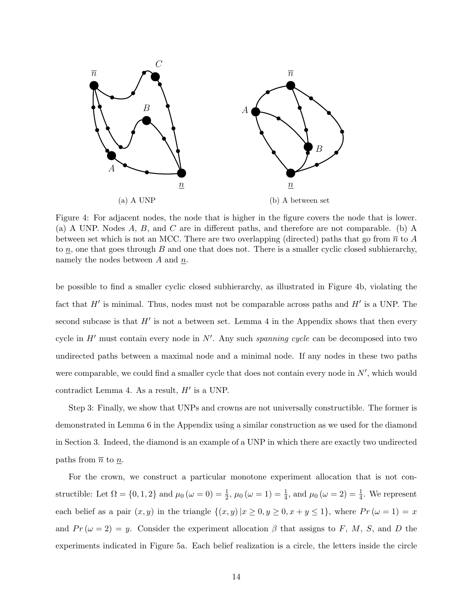

Figure 4: For adjacent nodes, the node that is higher in the figure covers the node that is lower. (a) A UNP. Nodes A, B, and C are in different paths, and therefore are not comparable. (b) A between set which is not an MCC. There are two overlapping (directed) paths that go from  $\bar{n}$  to A to  $n$ , one that goes through B and one that does not. There is a smaller cyclic closed subhierarchy, namely the nodes between  $A$  and  $n$ .

be possible to find a smaller cyclic closed subhierarchy, as illustrated in Figure 4b, violating the fact that  $H'$  is minimal. Thus, nodes must not be comparable across paths and  $H'$  is a UNP. The second subcase is that  $H'$  is not a between set. Lemma 4 in the Appendix shows that then every cycle in  $H'$  must contain every node in  $N'$ . Any such spanning cycle can be decomposed into two undirected paths between a maximal node and a minimal node. If any nodes in these two paths were comparable, we could find a smaller cycle that does not contain every node in  $N'$ , which would contradict Lemma 4. As a result,  $H'$  is a UNP.

Step 3: Finally, we show that UNPs and crowns are not universally constructible. The former is demonstrated in Lemma 6 in the Appendix using a similar construction as we used for the diamond in Section 3. Indeed, the diamond is an example of a UNP in which there are exactly two undirected paths from  $\bar{n}$  to  $\underline{n}$ .

For the crown, we construct a particular monotone experiment allocation that is not constructible: Let  $\Omega = \{0, 1, 2\}$  and  $\mu_0 (\omega = 0) = \frac{1}{2}$ ,  $\mu_0 (\omega = 1) = \frac{1}{4}$ , and  $\mu_0 (\omega = 2) = \frac{1}{4}$ . We represent each belief as a pair  $(x, y)$  in the triangle  $\{(x, y) | x \ge 0, y \ge 0, x + y \le 1\}$ , where  $Pr(\omega = 1) = x$ and  $Pr(\omega = 2) = y$ . Consider the experiment allocation  $\beta$  that assigns to F, M, S, and D the experiments indicated in Figure 5a. Each belief realization is a circle, the letters inside the circle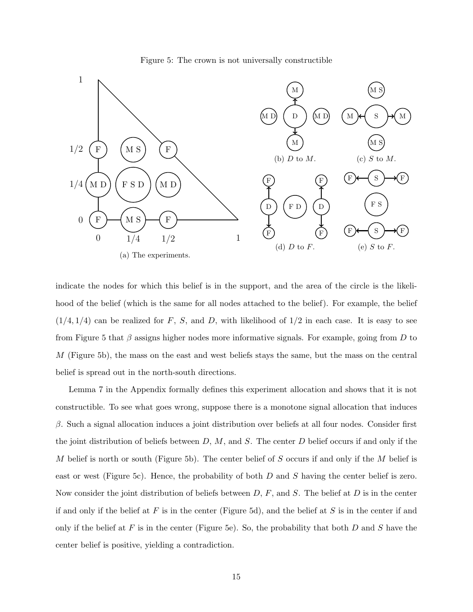



indicate the nodes for which this belief is in the support, and the area of the circle is the likelihood of the belief (which is the same for all nodes attached to the belief). For example, the belief  $(1/4, 1/4)$  can be realized for F, S, and D, with likelihood of  $1/2$  in each case. It is easy to see from Figure 5 that  $\beta$  assigns higher nodes more informative signals. For example, going from D to M (Figure 5b), the mass on the east and west beliefs stays the same, but the mass on the central belief is spread out in the north-south directions.

Lemma 7 in the Appendix formally defines this experiment allocation and shows that it is not constructible. To see what goes wrong, suppose there is a monotone signal allocation that induces  $β$ . Such a signal allocation induces a joint distribution over beliefs at all four nodes. Consider first the joint distribution of beliefs between  $D, M$ , and S. The center D belief occurs if and only if the M belief is north or south (Figure 5b). The center belief of S occurs if and only if the M belief is east or west (Figure 5c). Hence, the probability of both D and S having the center belief is zero. Now consider the joint distribution of beliefs between  $D, F$ , and  $S$ . The belief at  $D$  is in the center if and only if the belief at  $F$  is in the center (Figure 5d), and the belief at  $S$  is in the center if and only if the belief at F is in the center (Figure 5e). So, the probability that both D and S have the center belief is positive, yielding a contradiction.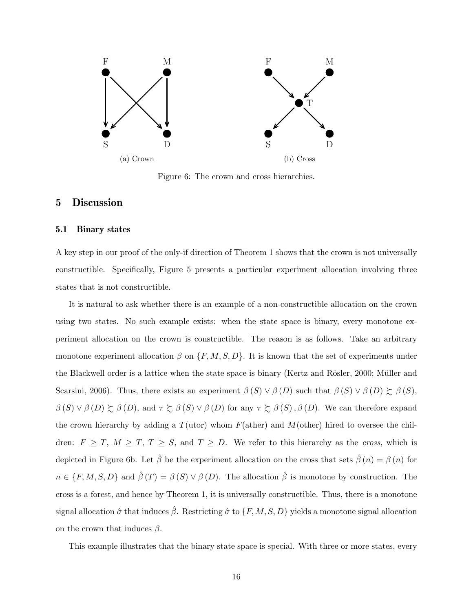

Figure 6: The crown and cross hierarchies.

# 5 Discussion

#### 5.1 Binary states

A key step in our proof of the only-if direction of Theorem 1 shows that the crown is not universally constructible. Specifically, Figure 5 presents a particular experiment allocation involving three states that is not constructible.

It is natural to ask whether there is an example of a non-constructible allocation on the crown using two states. No such example exists: when the state space is binary, every monotone experiment allocation on the crown is constructible. The reason is as follows. Take an arbitrary monotone experiment allocation  $\beta$  on  $\{F, M, S, D\}$ . It is known that the set of experiments under the Blackwell order is a lattice when the state space is binary (Kertz and Rösler, 2000; Müller and Scarsini, 2006). Thus, there exists an experiment  $\beta(S) \vee \beta(D)$  such that  $\beta(S) \vee \beta(D) \succsim \beta(S)$ ,  $\beta(S) \vee \beta(D) \succsim \beta(D)$ , and  $\tau \succsim \beta(S) \vee \beta(D)$  for any  $\tau \succsim \beta(S)$ ,  $\beta(D)$ . We can therefore expand the crown hierarchy by adding a  $T(\text{utor})$  whom  $F(\text{ather})$  and  $M(\text{other})$  hired to oversee the children:  $F \geq T$ ,  $M \geq T$ ,  $T \geq S$ , and  $T \geq D$ . We refer to this hierarchy as the *cross*, which is depicted in Figure 6b. Let  $\hat{\beta}$  be the experiment allocation on the cross that sets  $\hat{\beta}(n) = \beta(n)$  for  $n \in \{F, M, S, D\}$  and  $\hat{\beta}(T) = \beta(S) \vee \beta(D)$ . The allocation  $\hat{\beta}$  is monotone by construction. The cross is a forest, and hence by Theorem 1, it is universally constructible. Thus, there is a monotone signal allocation  $\hat{\sigma}$  that induces  $\hat{\beta}$ . Restricting  $\hat{\sigma}$  to  $\{F, M, S, D\}$  yields a monotone signal allocation on the crown that induces  $\beta$ .

This example illustrates that the binary state space is special. With three or more states, every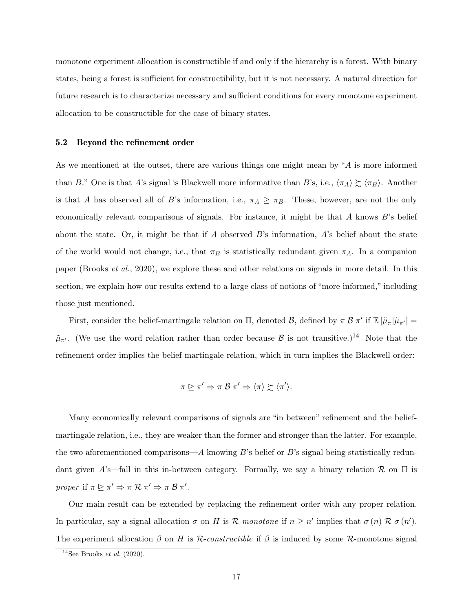monotone experiment allocation is constructible if and only if the hierarchy is a forest. With binary states, being a forest is sufficient for constructibility, but it is not necessary. A natural direction for future research is to characterize necessary and sufficient conditions for every monotone experiment allocation to be constructible for the case of binary states.

#### 5.2 Beyond the refinement order

As we mentioned at the outset, there are various things one might mean by "A is more informed than B." One is that A's signal is Blackwell more informative than B's, i.e.,  $\langle \pi_A \rangle \gtrsim \langle \pi_B \rangle$ . Another is that A has observed all of B's information, i.e.,  $\pi_A \trianglerighteq \pi_B$ . These, however, are not the only economically relevant comparisons of signals. For instance, it might be that  $A$  knows  $B$ 's belief about the state. Or, it might be that if A observed B's information, A's belief about the state of the world would not change, i.e., that  $\pi_B$  is statistically redundant given  $\pi_A$ . In a companion paper (Brooks et al., 2020), we explore these and other relations on signals in more detail. In this section, we explain how our results extend to a large class of notions of "more informed," including those just mentioned.

First, consider the belief-martingale relation on  $\Pi$ , denoted  $\mathcal{B}$ , defined by  $\pi \mathcal{B} \pi'$  if  $\mathbb{E}[\tilde{\mu}_{\pi}|\tilde{\mu}_{\pi'}] =$  $\tilde{\mu}_{\pi'}$ . (We use the word relation rather than order because  $\beta$  is not transitive.)<sup>14</sup> Note that the refinement order implies the belief-martingale relation, which in turn implies the Blackwell order:

$$
\pi \trianglerighteq \pi' \Rightarrow \pi \mathcal{B} \pi' \Rightarrow \langle \pi \rangle \succsim \langle \pi' \rangle.
$$

Many economically relevant comparisons of signals are "in between" refinement and the beliefmartingale relation, i.e., they are weaker than the former and stronger than the latter. For example, the two aforementioned comparisons— $A$  knowing  $B$ 's belief or  $B$ 's signal being statistically redundant given A's—fall in this in-between category. Formally, we say a binary relation  $\mathcal R$  on  $\Pi$  is proper if  $\pi \trianglerighteq \pi' \Rightarrow \pi \mathcal{R} \pi' \Rightarrow \pi \mathcal{B} \pi'.$ 

Our main result can be extended by replacing the refinement order with any proper relation. In particular, say a signal allocation  $\sigma$  on H is R-monotone if  $n \geq n'$  implies that  $\sigma(n) \mathcal{R} \sigma(n')$ . The experiment allocation  $\beta$  on H is R-constructible if  $\beta$  is induced by some R-monotone signal

<sup>&</sup>lt;sup>14</sup>See Brooks *et al.* (2020).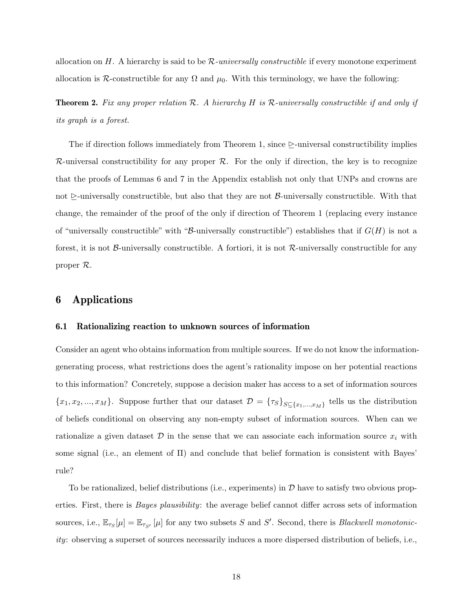allocation on H. A hierarchy is said to be  $R$ -universally constructible if every monotone experiment allocation is R-constructible for any  $\Omega$  and  $\mu_0$ . With this terminology, we have the following:

**Theorem 2.** Fix any proper relation  $\mathcal{R}$ . A hierarchy H is R-universally constructible if and only if its graph is a forest.

The if direction follows immediately from Theorem 1, since  $\geq$ -universal constructibility implies  $\mathcal{R}$ -universal constructibility for any proper  $\mathcal{R}$ . For the only if direction, the key is to recognize that the proofs of Lemmas 6 and 7 in the Appendix establish not only that UNPs and crowns are not  $\ge$ -universally constructible, but also that they are not  $\beta$ -universally constructible. With that change, the remainder of the proof of the only if direction of Theorem 1 (replacing every instance of "universally constructible" with "B-universally constructible") establishes that if  $G(H)$  is not a forest, it is not  $\beta$ -universally constructible. A fortiori, it is not  $\mathcal{R}$ -universally constructible for any proper R.

# 6 Applications

### 6.1 Rationalizing reaction to unknown sources of information

Consider an agent who obtains information from multiple sources. If we do not know the informationgenerating process, what restrictions does the agent's rationality impose on her potential reactions to this information? Concretely, suppose a decision maker has access to a set of information sources  ${x_1, x_2, ..., x_M}$ . Suppose further that our dataset  $\mathcal{D} = {\{\tau_S\}}_{S \subseteq {x_1, ..., x_M}}$  tells us the distribution of beliefs conditional on observing any non-empty subset of information sources. When can we rationalize a given dataset  $\mathcal D$  in the sense that we can associate each information source  $x_i$  with some signal (i.e., an element of  $\Pi$ ) and conclude that belief formation is consistent with Bayes' rule?

To be rationalized, belief distributions (i.e., experiments) in  $D$  have to satisfy two obvious properties. First, there is *Bayes plausibility*: the average belief cannot differ across sets of information sources, i.e.,  $\mathbb{E}_{\tau_S}[\mu] = \mathbb{E}_{\tau_{S'}}[\mu]$  for any two subsets S and S'. Second, there is *Blackwell monotonic*ity: observing a superset of sources necessarily induces a more dispersed distribution of beliefs, i.e.,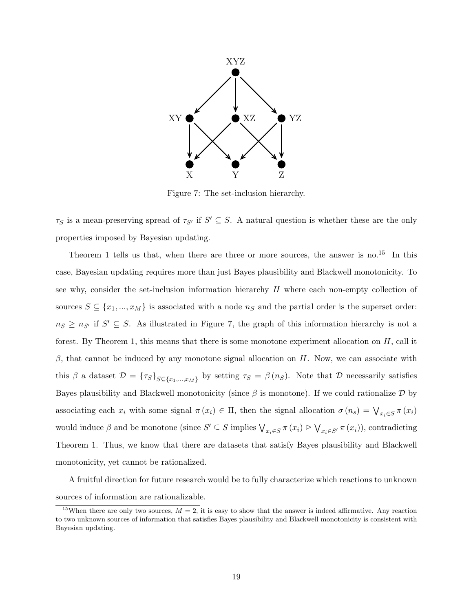

Figure 7: The set-inclusion hierarchy.

 $\tau_S$  is a mean-preserving spread of  $\tau_{S'}$  if  $S' \subseteq S$ . A natural question is whether these are the only properties imposed by Bayesian updating.

Theorem 1 tells us that, when there are three or more sources, the answer is no.<sup>15</sup> In this case, Bayesian updating requires more than just Bayes plausibility and Blackwell monotonicity. To see why, consider the set-inclusion information hierarchy  $H$  where each non-empty collection of sources  $S \subseteq \{x_1, ..., x_M\}$  is associated with a node  $n_S$  and the partial order is the superset order:  $n_S \geq n_{S'}$  if  $S' \subseteq S$ . As illustrated in Figure 7, the graph of this information hierarchy is not a forest. By Theorem 1, this means that there is some monotone experiment allocation on  $H$ , call it  $β$ , that cannot be induced by any monotone signal allocation on H. Now, we can associate with this  $\beta$  a dataset  $\mathcal{D} = {\{\tau_S\}}_{S \subseteq \{x_1,\dots,x_M\}}$  by setting  $\tau_S = \beta(n_S)$ . Note that  $\mathcal D$  necessarily satisfies Bayes plausibility and Blackwell monotonicity (since  $\beta$  is monotone). If we could rationalize  $\mathcal D$  by associating each  $x_i$  with some signal  $\pi(x_i) \in \Pi$ , then the signal allocation  $\sigma(n_s) = \bigvee_{x_i \in S} \pi(x_i)$ would induce  $\beta$  and be monotone (since  $S' \subseteq S$  implies  $\bigvee_{x_i \in S} \pi(x_i) \supseteq \bigvee_{x_i \in S'} \pi(x_i)$ ), contradicting Theorem 1. Thus, we know that there are datasets that satisfy Bayes plausibility and Blackwell monotonicity, yet cannot be rationalized.

A fruitful direction for future research would be to fully characterize which reactions to unknown sources of information are rationalizable.

<sup>&</sup>lt;sup>15</sup>When there are only two sources,  $M = 2$ , it is easy to show that the answer is indeed affirmative. Any reaction to two unknown sources of information that satisfies Bayes plausibility and Blackwell monotonicity is consistent with Bayesian updating.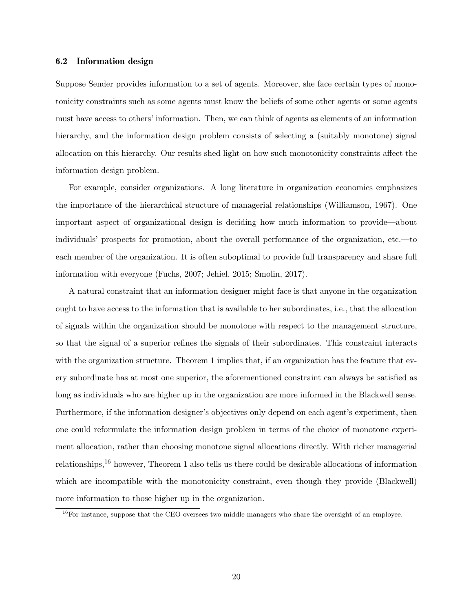### 6.2 Information design

Suppose Sender provides information to a set of agents. Moreover, she face certain types of monotonicity constraints such as some agents must know the beliefs of some other agents or some agents must have access to others' information. Then, we can think of agents as elements of an information hierarchy, and the information design problem consists of selecting a (suitably monotone) signal allocation on this hierarchy. Our results shed light on how such monotonicity constraints affect the information design problem.

For example, consider organizations. A long literature in organization economics emphasizes the importance of the hierarchical structure of managerial relationships (Williamson, 1967). One important aspect of organizational design is deciding how much information to provide—about individuals' prospects for promotion, about the overall performance of the organization, etc.—to each member of the organization. It is often suboptimal to provide full transparency and share full information with everyone (Fuchs, 2007; Jehiel, 2015; Smolin, 2017).

A natural constraint that an information designer might face is that anyone in the organization ought to have access to the information that is available to her subordinates, i.e., that the allocation of signals within the organization should be monotone with respect to the management structure, so that the signal of a superior refines the signals of their subordinates. This constraint interacts with the organization structure. Theorem 1 implies that, if an organization has the feature that every subordinate has at most one superior, the aforementioned constraint can always be satisfied as long as individuals who are higher up in the organization are more informed in the Blackwell sense. Furthermore, if the information designer's objectives only depend on each agent's experiment, then one could reformulate the information design problem in terms of the choice of monotone experiment allocation, rather than choosing monotone signal allocations directly. With richer managerial relationships,<sup>16</sup> however, Theorem 1 also tells us there could be desirable allocations of information which are incompatible with the monotonicity constraint, even though they provide (Blackwell) more information to those higher up in the organization.

<sup>&</sup>lt;sup>16</sup>For instance, suppose that the CEO oversees two middle managers who share the oversight of an employee.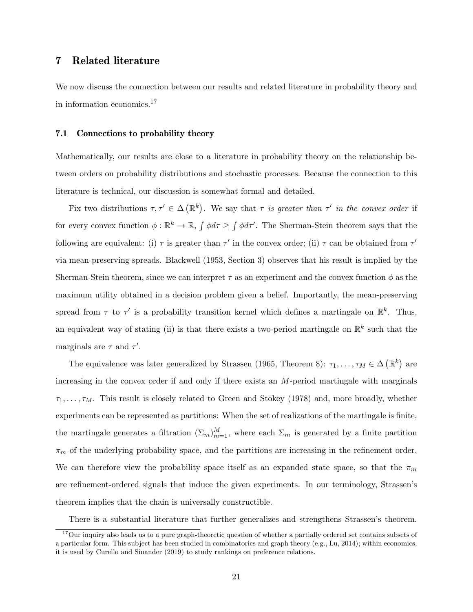# 7 Related literature

We now discuss the connection between our results and related literature in probability theory and in information economics.<sup>17</sup>

#### 7.1 Connections to probability theory

Mathematically, our results are close to a literature in probability theory on the relationship between orders on probability distributions and stochastic processes. Because the connection to this literature is technical, our discussion is somewhat formal and detailed.

Fix two distributions  $\tau, \tau' \in \Delta(\mathbb{R}^k)$ . We say that  $\tau$  is greater than  $\tau'$  in the convex order if for every convex function  $\phi : \mathbb{R}^k \to \mathbb{R}$ ,  $\int \phi d\tau \ge \int \phi d\tau'$ . The Sherman-Stein theorem says that the following are equivalent: (i)  $\tau$  is greater than  $\tau'$  in the convex order; (ii)  $\tau$  can be obtained from  $\tau'$ via mean-preserving spreads. Blackwell (1953, Section 3) observes that his result is implied by the Sherman-Stein theorem, since we can interpret  $\tau$  as an experiment and the convex function  $\phi$  as the maximum utility obtained in a decision problem given a belief. Importantly, the mean-preserving spread from  $\tau$  to  $\tau'$  is a probability transition kernel which defines a martingale on  $\mathbb{R}^k$ . Thus, an equivalent way of stating (ii) is that there exists a two-period martingale on  $\mathbb{R}^k$  such that the marginals are  $\tau$  and  $\tau'$ .

The equivalence was later generalized by Strassen (1965, Theorem 8):  $\tau_1, \ldots, \tau_M \in \Delta(\mathbb{R}^k)$  are increasing in the convex order if and only if there exists an  $M$ -period martingale with marginals  $\tau_1, \ldots, \tau_M$ . This result is closely related to Green and Stokey (1978) and, more broadly, whether experiments can be represented as partitions: When the set of realizations of the martingale is finite, the martingale generates a filtration  $(\Sigma_m)_{m=1}^M$ , where each  $\Sigma_m$  is generated by a finite partition  $\pi_m$  of the underlying probability space, and the partitions are increasing in the refinement order. We can therefore view the probability space itself as an expanded state space, so that the  $\pi_m$ are refinement-ordered signals that induce the given experiments. In our terminology, Strassen's theorem implies that the chain is universally constructible.

There is a substantial literature that further generalizes and strengthens Strassen's theorem.

 $17$ Our inquiry also leads us to a pure graph-theoretic question of whether a partially ordered set contains subsets of a particular form. This subject has been studied in combinatorics and graph theory (e.g., Lu, 2014); within economics, it is used by Curello and Sinander (2019) to study rankings on preference relations.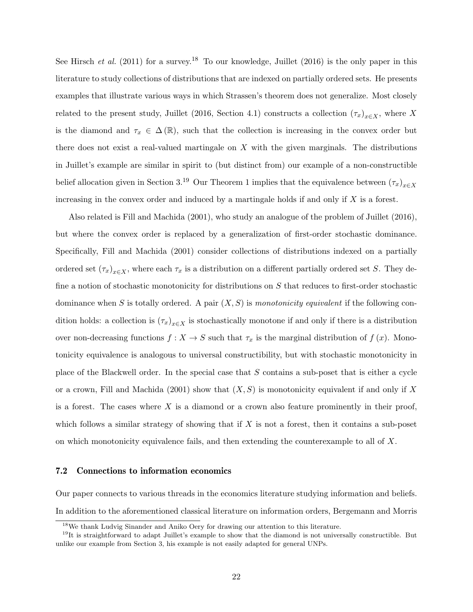See Hirsch et al. (2011) for a survey.<sup>18</sup> To our knowledge, Juillet (2016) is the only paper in this literature to study collections of distributions that are indexed on partially ordered sets. He presents examples that illustrate various ways in which Strassen's theorem does not generalize. Most closely related to the present study, Juillet (2016, Section 4.1) constructs a collection  $(\tau_x)_{x\in X}$ , where X is the diamond and  $\tau_x \in \Delta(\mathbb{R})$ , such that the collection is increasing in the convex order but there does not exist a real-valued martingale on  $X$  with the given marginals. The distributions in Juillet's example are similar in spirit to (but distinct from) our example of a non-constructible belief allocation given in Section 3.<sup>19</sup> Our Theorem 1 implies that the equivalence between  $(\tau_x)_{x\in X}$ increasing in the convex order and induced by a martingale holds if and only if  $X$  is a forest.

Also related is Fill and Machida (2001), who study an analogue of the problem of Juillet (2016), but where the convex order is replaced by a generalization of first-order stochastic dominance. Specifically, Fill and Machida (2001) consider collections of distributions indexed on a partially ordered set  $(\tau_x)_{x\in X}$ , where each  $\tau_x$  is a distribution on a different partially ordered set S. They define a notion of stochastic monotonicity for distributions on S that reduces to first-order stochastic dominance when S is totally ordered. A pair  $(X, S)$  is monotonicity equivalent if the following condition holds: a collection is  $(\tau_x)_{x\in X}$  is stochastically monotone if and only if there is a distribution over non-decreasing functions  $f : X \to S$  such that  $\tau_x$  is the marginal distribution of  $f(x)$ . Monotonicity equivalence is analogous to universal constructibility, but with stochastic monotonicity in place of the Blackwell order. In the special case that S contains a sub-poset that is either a cycle or a crown, Fill and Machida (2001) show that  $(X, S)$  is monotonicity equivalent if and only if X is a forest. The cases where  $X$  is a diamond or a crown also feature prominently in their proof, which follows a similar strategy of showing that if  $X$  is not a forest, then it contains a sub-poset on which monotonicity equivalence fails, and then extending the counterexample to all of  $X$ .

#### 7.2 Connections to information economics

Our paper connects to various threads in the economics literature studying information and beliefs. In addition to the aforementioned classical literature on information orders, Bergemann and Morris

<sup>18</sup>We thank Ludvig Sinander and Aniko Oery for drawing our attention to this literature.

 $19$ It is straightforward to adapt Juillet's example to show that the diamond is not universally constructible. But unlike our example from Section 3, his example is not easily adapted for general UNPs.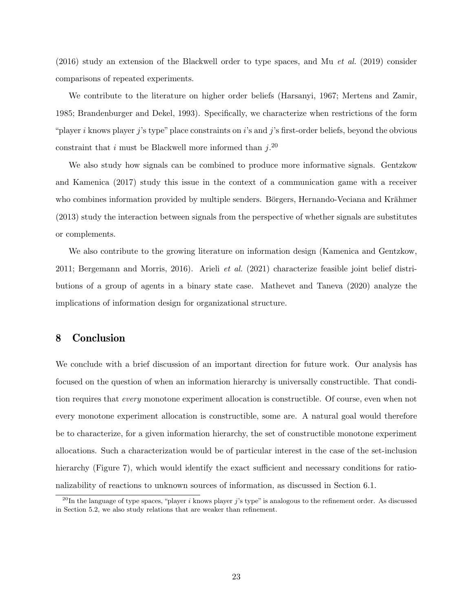$(2016)$  study an extension of the Blackwell order to type spaces, and Mu *et al.* (2019) consider comparisons of repeated experiments.

We contribute to the literature on higher order beliefs (Harsanyi, 1967; Mertens and Zamir, 1985; Brandenburger and Dekel, 1993). Specifically, we characterize when restrictions of the form "player i knows player j's type" place constraints on i's and j's first-order beliefs, beyond the obvious constraint that i must be Blackwell more informed than  $j$ <sup>20</sup>

We also study how signals can be combined to produce more informative signals. Gentzkow and Kamenica (2017) study this issue in the context of a communication game with a receiver who combines information provided by multiple senders. Börgers, Hernando-Veciana and Krähmer (2013) study the interaction between signals from the perspective of whether signals are substitutes or complements.

We also contribute to the growing literature on information design (Kamenica and Gentzkow, 2011; Bergemann and Morris, 2016). Arieli et al. (2021) characterize feasible joint belief distributions of a group of agents in a binary state case. Mathevet and Taneva (2020) analyze the implications of information design for organizational structure.

# 8 Conclusion

We conclude with a brief discussion of an important direction for future work. Our analysis has focused on the question of when an information hierarchy is universally constructible. That condition requires that every monotone experiment allocation is constructible. Of course, even when not every monotone experiment allocation is constructible, some are. A natural goal would therefore be to characterize, for a given information hierarchy, the set of constructible monotone experiment allocations. Such a characterization would be of particular interest in the case of the set-inclusion hierarchy (Figure 7), which would identify the exact sufficient and necessary conditions for rationalizability of reactions to unknown sources of information, as discussed in Section 6.1.

<sup>&</sup>lt;sup>20</sup>In the language of type spaces, "player i knows player j's type" is analogous to the refinement order. As discussed in Section 5.2, we also study relations that are weaker than refinement.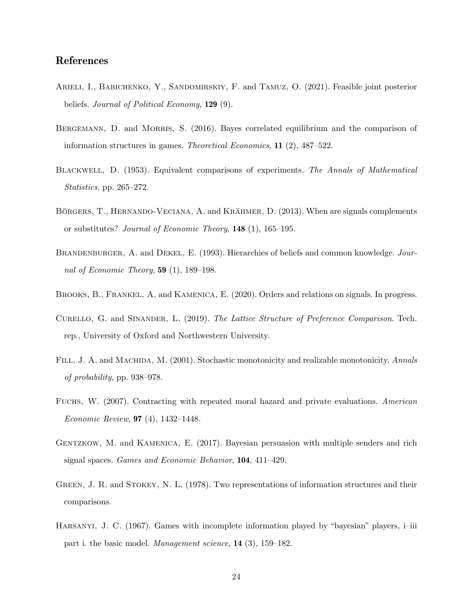# References

- ARIELI, I., BABICHENKO, Y., SANDOMIRSKIY, F. and TAMUZ, O. (2021). Feasible joint posterior beliefs. Journal of Political Economy, 129 (9).
- BERGEMANN, D. and MORRIS, S. (2016). Bayes correlated equilibrium and the comparison of information structures in games. Theoretical Economics, 11 (2), 487–522.
- Blackwell, D. (1953). Equivalent comparisons of experiments. The Annals of Mathematical Statistics, pp. 265–272.
- BÖRGERS, T., HERNANDO-VECIANA, A. and KRÄHMER, D. (2013). When are signals complements or substitutes? Journal of Economic Theory, 148 (1), 165–195.
- BRANDENBURGER, A. and DEKEL, E. (1993). Hierarchies of beliefs and common knowledge. Journal of Economic Theory,  $59$  (1), 189–198.
- BROOKS, B., FRANKEL, A. and KAMENICA, E. (2020). Orders and relations on signals. In progress.
- Curello, G. and Sinander, L. (2019). The Lattice Structure of Preference Comparison. Tech. rep., University of Oxford and Northwestern University.
- FILL, J. A. and MACHIDA, M. (2001). Stochastic monotonicity and realizable monotonicity. Annals of probability, pp. 938–978.
- FUCHS, W. (2007). Contracting with repeated moral hazard and private evaluations. American Economic Review, 97 (4), 1432–1448.
- GENTZKOW, M. and KAMENICA, E. (2017). Bayesian persuasion with multiple senders and rich signal spaces. Games and Economic Behavior, 104, 411–429.
- GREEN, J. R. and STOKEY, N. L. (1978). Two representations of information structures and their comparisons.
- Harsanyi, J. C. (1967). Games with incomplete information played by "bayesian" players, i–iii part i. the basic model. Management science, 14 (3), 159–182.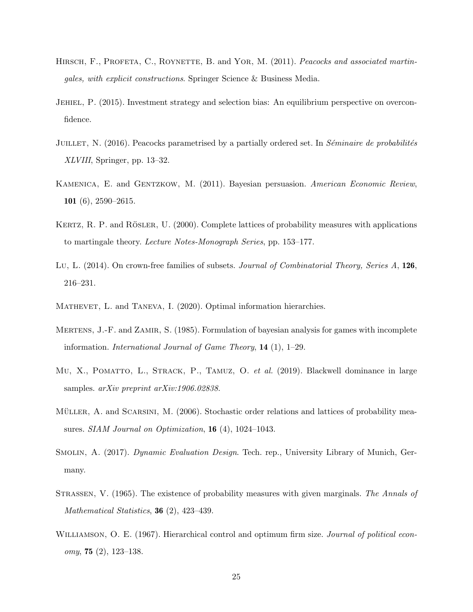- HIRSCH, F., PROFETA, C., ROYNETTE, B. and YOR, M. (2011). Peacocks and associated martingales, with explicit constructions. Springer Science & Business Media.
- Jehiel, P. (2015). Investment strategy and selection bias: An equilibrium perspective on overconfidence.
- JUILLET, N.  $(2016)$ . Peacocks parametrised by a partially ordered set. In *Séminaire de probabilités* XLVIII, Springer, pp. 13–32.
- Kamenica, E. and Gentzkow, M. (2011). Bayesian persuasion. American Economic Review, 101 (6), 2590–2615.
- KERTZ, R. P. and RÖSLER, U.  $(2000)$ . Complete lattices of probability measures with applications to martingale theory. Lecture Notes-Monograph Series, pp. 153–177.
- Lu, L. (2014). On crown-free families of subsets. Journal of Combinatorial Theory, Series A, 126, 216–231.
- MATHEVET, L. and TANEVA, I. (2020). Optimal information hierarchies.
- MERTENS, J.-F. and ZAMIR, S. (1985). Formulation of bayesian analysis for games with incomplete information. International Journal of Game Theory, 14 (1), 1–29.
- MU, X., POMATTO, L., STRACK, P., TAMUZ, O. et al. (2019). Blackwell dominance in large samples. *arXiv preprint arXiv:1906.02838*.
- MÜLLER, A. and SCARSINI, M. (2006). Stochastic order relations and lattices of probability measures. SIAM Journal on Optimization, 16 (4), 1024-1043.
- Smolin, A. (2017). Dynamic Evaluation Design. Tech. rep., University Library of Munich, Germany.
- Strassen, V. (1965). The existence of probability measures with given marginals. The Annals of Mathematical Statistics, **36** (2), 423-439.
- WILLIAMSON, O. E. (1967). Hierarchical control and optimum firm size. *Journal of political econ*omy, 75 (2), 123–138.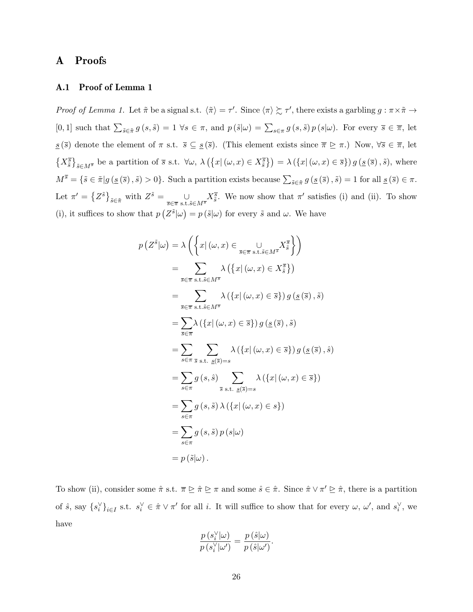# A Proofs

## A.1 Proof of Lemma 1

Proof of Lemma 1. Let  $\tilde{\pi}$  be a signal s.t.  $\langle \tilde{\pi} \rangle = \tau'$ . Since  $\langle \pi \rangle \gtrsim \tau'$ , there exists a garbling  $g : \pi \times \tilde{\pi} \to$ [0, 1] such that  $\sum_{\tilde{s}\in\tilde{\pi}}g(s,\tilde{s})=1$   $\forall s\in\pi$ , and  $p(\tilde{s}|\omega)=\sum_{s\in\pi}g(s,\tilde{s})p(s|\omega)$ . For every  $\bar{s}\in\overline{\pi}$ , let  $s(\overline{s})$  denote the element of  $\pi$  s.t.  $\overline{s} \subseteq s(\overline{s})$ . (This element exists since  $\overline{\pi} \triangleright \pi$ .) Now,  $\forall \overline{s} \in \overline{\pi}$ , let  $\{X_{\tilde{s}}^{\overline{s}}\}_{\tilde{s}\in M^{\overline{s}}}$  be a partition of  $\overline{s}$  s.t.  $\forall \omega, \lambda (\{x | (\omega, x) \in X_{\tilde{s}}^{\overline{s}}\}) = \lambda (\{x | (\omega, x) \in \overline{s}\}) g (\underline{s} (\overline{s}), \tilde{s}),$  where  $M^{\overline{s}} = {\{\tilde{s} \in \tilde{\pi} | g(\underline{s}(\overline{s}), \tilde{s}) > 0\}}.$  Such a partition exists because  $\sum_{\tilde{s} \in \tilde{\pi}} g(\underline{s}(\overline{s}), \tilde{s}) = 1$  for all  $\underline{s}(\overline{s}) \in \pi.$ Let  $\pi' = \left\{ Z^{\tilde{s}} \right\}_{\tilde{s} \in \tilde{\pi}}$  with  $Z^{\tilde{s}} = \bigcup_{\bar{s} \in \bar{\pi} \text{ s.t. } \tilde{s} \in M^{\overline{s}}} X^{\overline{s}}_{\tilde{s}}$ . We now show that  $\pi'$  satisfies (i) and (ii). To show (i), it suffices to show that  $p(Z^{\tilde{s}}|\omega) = p(\tilde{s}|\omega)$  for every  $\tilde{s}$  and  $\omega$ . We have

$$
p(Z^{\tilde{s}}|\omega) = \lambda \left( \left\{ x | (\omega, x) \in \bigcup_{\overline{s} \in \overline{\pi} \text{ s.t. } \tilde{s} \in M^{\overline{s}}} X_{\tilde{s}}^{\overline{s}} \right\} \right)
$$
  
\n
$$
= \sum_{\overline{s} \in \overline{\pi} \text{ s.t. } \tilde{s} \in M^{\overline{s}}} \lambda \left( \left\{ x | (\omega, x) \in X_{\tilde{s}}^{\overline{s}} \right\} \right)
$$
  
\n
$$
= \sum_{\overline{s} \in \overline{\pi} \text{ s.t. } \tilde{s} \in M^{\overline{s}}} \lambda \left( \left\{ x | (\omega, x) \in \overline{s} \right\} \right) g(\underline{s}(\overline{s}), \tilde{s})
$$
  
\n
$$
= \sum_{\tilde{s} \in \overline{\pi}} \lambda \left( \left\{ x | (\omega, x) \in \overline{s} \right\} \right) g(\underline{s}(\overline{s}), \tilde{s})
$$
  
\n
$$
= \sum_{s \in \pi} \sum_{\tilde{s} \text{ s.t. } \underline{s}(\overline{s}) = s} \lambda \left( \left\{ x | (\omega, x) \in \overline{s} \right\} \right) g(\underline{s}(\overline{s}), \hat{s})
$$
  
\n
$$
= \sum_{s \in \pi} g(s, \hat{s}) \sum_{\tilde{s} \text{ s.t. } \underline{s}(\overline{s}) = s} \lambda \left( \left\{ x | (\omega, x) \in \overline{s} \right\} \right)
$$
  
\n
$$
= \sum_{s \in \pi} g(s, \tilde{s}) \lambda \left( \left\{ x | (\omega, x) \in s \right\} \right)
$$
  
\n
$$
= \sum_{s \in \pi} g(s, \tilde{s}) p(s|\omega)
$$
  
\n
$$
= p(\tilde{s}|\omega).
$$

To show (ii), consider some  $\hat{\pi}$  s.t.  $\bar{\pi} \trianglerighteq \hat{\pi} \trianglerighteq \pi$  and some  $\hat{s} \in \hat{\pi}$ . Since  $\hat{\pi} \vee \pi' \trianglerighteq \hat{\pi}$ , there is a partition of  $\hat{s}$ , say  $\{s_i^{\vee}\}_{i\in I}$  s.t.  $s_i^{\vee} \in \hat{\pi} \vee \pi'$  for all i. It will suffice to show that for every  $\omega$ ,  $\omega'$ , and  $s_i^{\vee}$ , we have

$$
\frac{p(s_i^{\vee}|\omega)}{p(s_i^{\vee}|\omega')} = \frac{p(\hat{s}|\omega)}{p(\hat{s}|\omega')}.
$$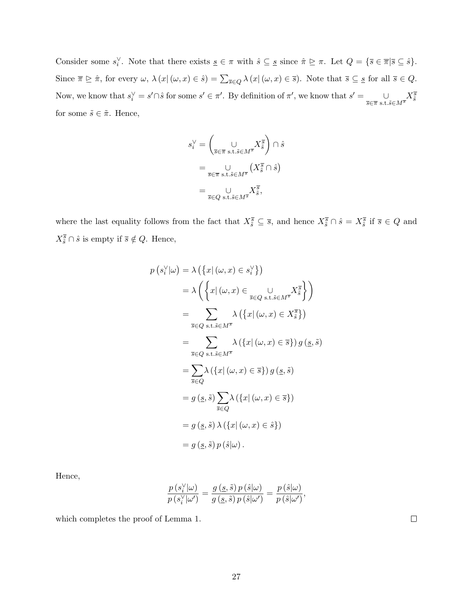Consider some  $s_i^{\vee}$ . Note that there exists  $\underline{s} \in \pi$  with  $\hat{s} \subseteq \underline{s}$  since  $\hat{\pi} \trianglerighteq \pi$ . Let  $Q = {\overline{s} \in \overline{\pi} | \overline{s} \subseteq \hat{s}}$ . Since  $\overline{\pi} \trianglerighteq \hat{\pi}$ , for every  $\omega$ ,  $\lambda(x | (\omega, x) \in \hat{s}) = \sum_{\overline{s} \in Q} \lambda(x | (\omega, x) \in \overline{s})$ . Note that  $\overline{s} \subseteq \underline{s}$  for all  $\overline{s} \in Q$ . Now, we know that  $s_i^{\vee} = s' \cap \hat{s}$  for some  $s' \in \pi'$ . By definition of  $\pi'$ , we know that  $s' = \bigcup_{\overline{s} \in \overline{\pi} \text{ s.t. } \tilde{s} \in M^{\overline{s}}} X_{\tilde{s}}^{\overline{s}}$ for some  $\tilde{s} \in \tilde{\pi}$ . Hence,

$$
\begin{split} s_i^\vee&=\biggl(\underset{\bar{s}\in\overline{\pi}\text{ s.t.}\bar{s}\in M^{\overline{s}}}{\cup}X^{\overline{s}}_{\bar{s}}\biggr)\cap\hat{s}\\ &=\underset{\bar{s}\in\overline{\pi}\text{ s.t.}\bar{s}\in M^{\overline{s}}}{\cup}(X^{\overline{s}}_{\bar{s}}\cap\hat{s})\\ &=\underset{\bar{s}\in Q\text{ s.t.}\bar{s}\in M^{\overline{s}}}{\cup}X^{\overline{s}}_{\bar{s}}, \end{split}
$$

where the last equality follows from the fact that  $X_{\tilde{s}}^{\overline{s}} \subseteq \overline{s}$ , and hence  $X_{\tilde{s}}^{\overline{s}} \cap \hat{s} = X_{\tilde{s}}^{\overline{s}}$  if  $\overline{s} \in Q$  and  $X_{\tilde{s}}^{\overline{s}} \cap \hat{s}$  is empty if  $\overline{s} \notin Q$ . Hence,

$$
p(s_i^{\vee}|\omega) = \lambda \left( \{ x | (\omega, x) \in s_i^{\vee} \} \right)
$$
  
\n
$$
= \lambda \left( \{ x | (\omega, x) \in \bigcup_{\overline{s} \in Q \text{ s.t. } \tilde{s} \in M^{\overline{s}}} X_{\tilde{s}}^{\overline{s}} \} \right)
$$
  
\n
$$
= \sum_{\overline{s} \in Q \text{ s.t. } \tilde{s} \in M^{\overline{s}}} \lambda \left( \{ x | (\omega, x) \in X_{\tilde{s}}^{\overline{s}} \} \right)
$$
  
\n
$$
= \sum_{\overline{s} \in Q \text{ s.t. } \tilde{s} \in M^{\overline{s}}} \lambda \left( \{ x | (\omega, x) \in \overline{s} \} \right) g(s, \tilde{s})
$$
  
\n
$$
= \sum_{\overline{s} \in Q} \lambda \left( \{ x | (\omega, x) \in \overline{s} \} \right) g(s, \tilde{s})
$$
  
\n
$$
= g(s, \tilde{s}) \sum_{\overline{s} \in Q} \lambda \left( \{ x | (\omega, x) \in \overline{s} \} \right)
$$
  
\n
$$
= g(s, \tilde{s}) \lambda \left( \{ x | (\omega, x) \in \tilde{s} \} \right)
$$
  
\n
$$
= g(s, \tilde{s}) p(s|\omega).
$$

Hence,

$$
\frac{p\left(\boldsymbol{\hat{s}}_i^{\vee}\vert\boldsymbol{\omega}\right)}{p\left(\boldsymbol{\hat{s}}_i^{\vee}\vert\boldsymbol{\omega}^{\prime}\right)}=\frac{g\left(\underline{s},\tilde{s}\right)p\left(\hat{s}\vert\boldsymbol{\omega}\right)}{g\left(\underline{s},\tilde{s}\right)p\left(\hat{s}\vert\boldsymbol{\omega}^{\prime}\right)}=\frac{p\left(\hat{s}\vert\boldsymbol{\omega}\right)}{p\left(\hat{s}\vert\boldsymbol{\omega}^{\prime}\right)},
$$

which completes the proof of Lemma 1.

27

 $\Box$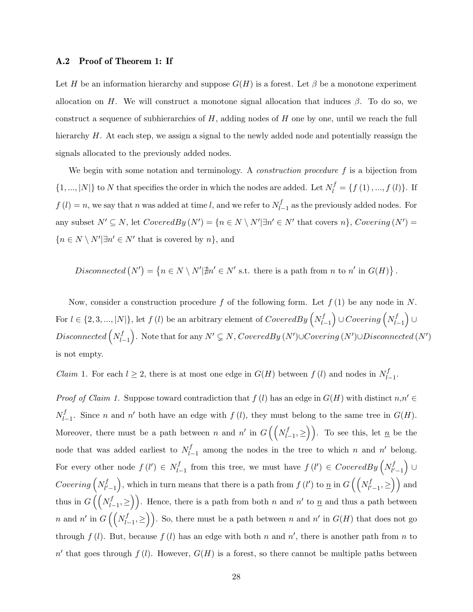#### A.2 Proof of Theorem 1: If

Let H be an information hierarchy and suppose  $G(H)$  is a forest. Let  $\beta$  be a monotone experiment allocation on H. We will construct a monotone signal allocation that induces  $\beta$ . To do so, we construct a sequence of subhierarchies of  $H$ , adding nodes of  $H$  one by one, until we reach the full hierarchy H. At each step, we assign a signal to the newly added node and potentially reassign the signals allocated to the previously added nodes.

We begin with some notation and terminology. A *construction procedure* f is a bijection from  $\{1, ..., |N|\}$  to N that specifies the order in which the nodes are added. Let  $N_l^f = \{f(1), ..., f(l)\}$ . If  $f(l) = n$ , we say that n was added at time l, and we refer to  $N_l^f$ .  $\prod_{l=1}^{J}$  as the previously added nodes. For any subset  $N' \subseteq N$ , let  $CoveredBy (N') = \{n \in N \setminus N' | \exists n' \in N' \text{ that covers } n\}$ , Covering  $(N') =$  ${n \in N \setminus N' \exists n' \in N' \text{ that is covered by } n},$  and

Disconnected  $(N') = \{ n \in N \setminus N' | \nexists n' \in N' \text{ s.t. there is a path from } n \text{ to } n' \text{ in } G(H) \}.$ 

Now, consider a construction procedure f of the following form. Let  $f(1)$  be any node in N. For  $l \in \{2, 3, ..., |N|\}$ , let  $f(l)$  be an arbitrary element of  $CoveredBy\left(N_{l}^{f}\right)$  $\left\{ \sum_{l=1}^{f}\right\} \cup Covering\left( N_{l}^{f}\right)$  $\binom{f}{l-1} \cup$  $Disconnected\left(N_{l}^{f}\right)$  $\bigcup_{l=1}^{f}\big)$ . Note that for any  $N'\subsetneq N$ , CoveredBy  $(N')\cup Covering$   $(N')\cup Disconnected$   $(N')$ is not empty.

*Claim* 1. For each  $l \geq 2$ , there is at most one edge in  $G(H)$  between  $f(l)$  and nodes in  $N_l^f$ . .∫<br>l−1·

*Proof of Claim 1.* Suppose toward contradiction that  $f(l)$  has an edge in  $G(H)$  with distinct  $n,n' \in$  $N_{l}^{f}$  $\int_{l-1}^{f}$ . Since n and n' both have an edge with  $f(l)$ , they must belong to the same tree in  $G(H)$ . Moreover, there must be a path between n and n' in  $G\left(\left(N_{l}^{f}\right)\right)$  $\binom{f}{l-1}$ , ≥). To see this, let  $\underline{n}$  be the node that was added earliest to  $N_l^f$  $\int_{l-1}^{f}$  among the nodes in the tree to which n and n' belong. For every other node  $f(l') \in N_l^f$  $\sum_{l=1}^{f}$  from this tree, we must have  $f(l') \in CoveredBy\left(N^f_{l'}\right)$  $\left(\begin{smallmatrix} f \ l'-1 \end{smallmatrix}\right) \, \cup \,$  $\it{Covering}\left(N_{l'}^{f}\right)$  $\left(\begin{matrix}f\ l'\end{matrix}\right)$ , which in turn means that there is a path from  $f(l')$  to  $\underline{n}$  in  $G\left(\left(\begin{matrix}N^f_l\ l'\end{matrix}\right)$  $\binom{f}{l'-1} \geq$  and thus in  $G\left(\left(N_{l}\right)$  $\binom{f}{l-1}$ , ≥). Hence, there is a path from both n and n' to  $\underline{n}$  and thus a path between n and n' in  $G\left(\left(N_{l}\right)$  $\binom{f}{l-1}$ , ≥). So, there must be a path between n and n' in  $G(H)$  that does not go through  $f(l)$ . But, because  $f(l)$  has an edge with both n and n', there is another path from n to  $n'$  that goes through  $f(l)$ . However,  $G(H)$  is a forest, so there cannot be multiple paths between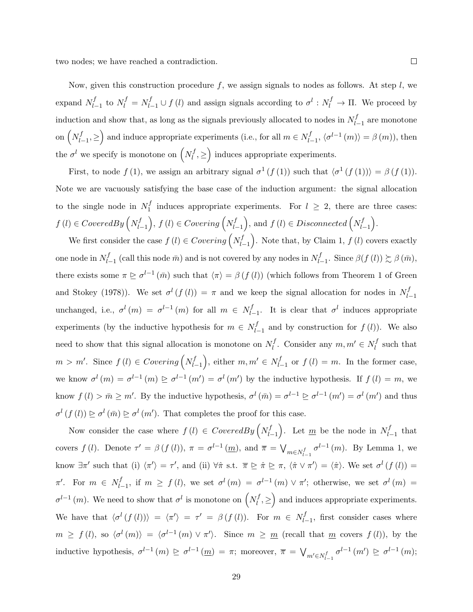two nodes; we have reached a contradiction.

Now, given this construction procedure  $f$ , we assign signals to nodes as follows. At step  $l$ , we expand  $N_{l}^{f}$  $l_{l-1}$  to  $N_l^f = N_{l-1}^f \cup f(l)$  and assign signals according to  $\sigma^l : N_l^f \to \Pi$ . We proceed by induction and show that, as long as the signals previously allocated to nodes in  $N_l^f$ .  $l_{-1}$  are monotone on  $\left(N_l^f\right)$  $\left( \sum_{l=1}^{f}, \geq \right)$  and induce appropriate experiments (i.e., for all  $m \in N_{l}^{f}$  $\langle b_{l-1}^{f}, \langle \sigma^{l-1}(m) \rangle = \beta(m)$ , then the  $\sigma^l$  we specify is monotone on  $\left(N_l^f\right)$  $\left( \frac{df}{dt}, \geq \right)$  induces appropriate experiments.

First, to node  $f(1)$ , we assign an arbitrary signal  $\sigma^1(f(1))$  such that  $\langle \sigma^1(f(1)) \rangle = \beta(f(1))$ . Note we are vacuously satisfying the base case of the induction argument: the signal allocation to the single node in  $N_1^f$  $I_1^J$  induces appropriate experiments. For  $l \geq 2$ , there are three cases:  $f(l) \in CoveredBy\left(N_l^f\right)$  $\left( \begin{matrix} f \\ h-1 \end{matrix} \right)$ ,  $f(l) ∈ Covering\left( N^f_{l-1} \right)$  $\left( \begin{matrix} f \ l-1 \end{matrix} \right)$ , and  $f(l) \in Disconnected\left( N^f_{l-1} \right)$  $\begin{pmatrix} f \\ l-1 \end{pmatrix}$ .

We first consider the case  $f(l) \in Covering\left(N_l^f\right)$  $\binom{f}{l-1}$ . Note that, by Claim 1,  $f(l)$  covers exactly one node in  $N_{l}^{f}$  $\sum_{l=1}^{f}$  (call this node  $\bar{m}$ ) and is not covered by any nodes in  $N_l^f$ .  $\int_{l-1}^{f}$ . Since  $\beta(f(l))$   $\succsim$   $\beta(\bar{m})$ , there exists some  $\pi \trianglerighteq \sigma^{l-1}(\bar{m})$  such that  $\langle \pi \rangle = \beta(f(l))$  (which follows from Theorem 1 of Green and Stokey (1978)). We set  $\sigma^l(f(l)) = \pi$  and we keep the signal allocation for nodes in  $N_l^f$ .  $l-1$ unchanged, i.e.,  $\sigma^l(m) = \sigma^{l-1}(m)$  for all  $m \in N_l^f$ .  $\int_{l-1}^{f}$ . It is clear that  $\sigma^{l}$  induces appropriate experiments (by the inductive hypothesis for  $m \in N^f_{l}$  $\int_{l-1}^{J}$  and by construction for  $f(l)$ ). We also need to show that this signal allocation is monotone on  $N_l^f$  $l_i^f$ . Consider any  $m, m' \in N_l^f$  $l_i^J$  such that  $m > m'$ . Since  $f(l) \in Covering\left(N_l^f\right)$  $\left( \begin{matrix} f \\ l-1 \end{matrix} \right)$ , either  $m, m' \in N_{l-1}$  $\int_{l-1}^{J}$  or  $f(l) = m$ . In the former case, we know  $\sigma^{l}(m) = \sigma^{l-1}(m) \ge \sigma^{l-1}(m') = \sigma^{l}(m')$  by the inductive hypothesis. If  $f(l) = m$ , we know  $f(l) > \bar{m} \geq m'$ . By the inductive hypothesis,  $\sigma^l(\bar{m}) = \sigma^{l-1} \geq \sigma^{l-1}(m') = \sigma^l(m')$  and thus  $\sigma^l(f(l)) \geq \sigma^l(\bar{m}) \geq \sigma^l(m')$ . That completes the proof for this case.

Now consider the case where  $f(l) \in \text{CoveredBy}\left(N_l^f\right)$  $\binom{f}{l-1}$ . Let  $\underline{m}$  be the node in  $N_l^f$ .  $_{l-1}^{J}$  that covers  $f(l)$ . Denote  $\tau' = \beta(f(l))$ ,  $\pi = \sigma^{l-1}(\underline{m})$ , and  $\overline{\pi} = \bigvee_{m \in N_{l-1}^f} \sigma^{l-1}(m)$ . By Lemma 1, we know  $\exists \pi'$  such that (i)  $\langle \pi' \rangle = \tau'$ , and (ii)  $\forall \hat{\pi}$  s.t.  $\bar{\pi} \trianglerighteq \hat{\pi} \trianglerighteq \pi$ ,  $\langle \hat{\pi} \vee \pi' \rangle = \langle \hat{\pi} \rangle$ . We set  $\sigma^l(f(l)) =$  $\pi'$ . For  $m \in N^f_{l}$  $l_{l-1}$ , if  $m \ge f(l)$ , we set  $\sigma^{l}(m) = \sigma^{l-1}(m) \vee \pi'$ ; otherwise, we set  $\sigma^{l}(m) =$  $\sigma^{l-1}(m)$ . We need to show that  $\sigma^l$  is monotone on  $\left(N_l^f\right)$  $\left( \sum_{l}^{f}, \geq \right)$  and induces appropriate experiments. We have that  $\langle \sigma^l(f(l)) \rangle = \langle \pi' \rangle = \tau' = \beta(f(l))$ . For  $m \in N_l^f$ .  $l_{l-1}$ , first consider cases where  $m \geq f(l)$ , so  $\langle \sigma^{l}(m) \rangle = \langle \sigma^{l-1}(m) \vee \pi' \rangle$ . Since  $m \geq m$  (recall that m covers  $f(l)$ ), by the inductive hypothesis,  $\sigma^{l-1}(m) \ge \sigma^{l-1}(m) = \pi$ ; moreover,  $\overline{\pi} = \bigvee_{m' \in N_{l-1}^f} \sigma^{l-1}(m') \ge \sigma^{l-1}(m)$ ;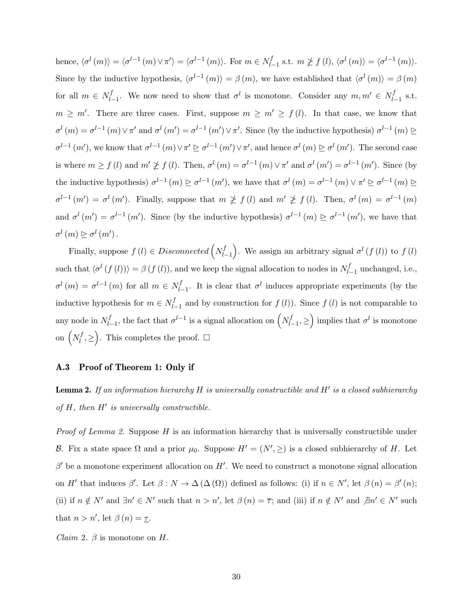hence,  $\langle \sigma^l(m) \rangle = \langle \sigma^{l-1}(m) \vee \pi' \rangle = \langle \sigma^{l-1}(m) \rangle$ . For  $m \in N_L^f$  $\int_{l-1}^{f}$  s.t.  $m \not\geq f(l), \langle \sigma^{l}(m) \rangle = \langle \sigma^{l-1}(m) \rangle.$ Since by the inductive hypothesis,  $\langle \sigma^{l-1}(m) \rangle = \beta(m)$ , we have established that  $\langle \sigma^{l}(m) \rangle = \beta(m)$ for all  $m \in N^f_{l}$  $l_{l-1}$ . We now need to show that  $\sigma^l$  is monotone. Consider any  $m, m' \in N_{l-1}^f$  $_{l-1}^{J}$  s.t.  $m \geq m'$ . There are three cases. First, suppose  $m \geq m' \geq f(l)$ . In that case, we know that  $\sigma^{l}(m) = \sigma^{l-1}(m) \vee \pi^{l}$  and  $\sigma^{l}(m') = \sigma^{l-1}(m') \vee \pi^{l}$ . Since (by the inductive hypothesis)  $\sigma^{l-1}(m) \triangleright$  $\sigma^{l-1}(m')$ , we know that  $\sigma^{l-1}(m) \vee \pi' \geq \sigma^{l-1}(m') \vee \pi'$ , and hence  $\sigma^l(m) \geq \sigma^l(m')$ . The second case is where  $m \ge f(l)$  and  $m' \not\ge f(l)$ . Then,  $\sigma^l(m) = \sigma^{l-1}(m) \vee \pi'$  and  $\sigma^l(m') = \sigma^{l-1}(m')$ . Since (by the inductive hypothesis)  $\sigma^{l-1}(m) \ge \sigma^{l-1}(m')$ , we have that  $\sigma^l(m) = \sigma^{l-1}(m) \vee \pi' \ge \sigma^{l-1}(m) \ge$  $\sigma^{l-1}(m') = \sigma^l(m')$ . Finally, suppose that  $m \not\geq f(l)$  and  $m' \not\geq f(l)$ . Then,  $\sigma^l(m) = \sigma^{l-1}(m)$ and  $\sigma^l(m') = \sigma^{l-1}(m')$ . Since (by the inductive hypothesis)  $\sigma^{l-1}(m) \ge \sigma^{l-1}(m')$ , we have that  $\sigma^{l}(m) \trianglerighteq \sigma^{l}(m')$ .

Finally, suppose  $f(l) \in Disconnected\left(N_l^f\right)$  $\left\{ \begin{array}{l} f \left( f \right) \end{array} \right\}$ . We assign an arbitrary signal  $\sigma^l(f(l))$  to  $f(l)$ such that  $\langle \sigma^l(f(l)) \rangle = \beta(f(l))$ , and we keep the signal allocation to nodes in  $N_l^f$ .  $l_{-1}$  unchanged, i.e.,  $\sigma^{l}(m) = \sigma^{l-1}(m)$  for all  $m \in N_{l}^{f}$  $\int_{l-1}^{f}$ . It is clear that  $\sigma^{l}$  induces appropriate experiments (by the inductive hypothesis for  $m \in N_l^f$ .  $l_{l-1}$  and by construction for  $f(l)$ ). Since  $f(l)$  is not comparable to any node in  $N_{l}^{f}$  $\int_{l-1}^{f}$ , the fact that  $\sigma^{l-1}$  is a signal allocation on  $\left(N_l^f\right)$  $\left\{ \sum_{l=1}^{f} \geq \right\}$  implies that  $\sigma^{l}$  is monotone on  $\left(N_l^f\right)$  $\binom{f}{l}, \geq$ . This completes the proof.  $\Box$ 

### A.3 Proof of Theorem 1: Only if

**Lemma 2.** If an information hierarchy H is universally constructible and H' is a closed subhierarchy of  $H$ , then  $H'$  is universally constructible.

Proof of Lemma 2. Suppose H is an information hierarchy that is universally constructible under B. Fix a state space  $\Omega$  and a prior  $\mu_0$ . Suppose  $H' = (N', \geq)$  is a closed subhierarchy of H. Let  $\beta'$  be a monotone experiment allocation on H'. We need to construct a monotone signal allocation on H' that induces  $\beta'$ . Let  $\beta : N \to \Delta(\Delta(\Omega))$  defined as follows: (i) if  $n \in N'$ , let  $\beta(n) = \beta'(n)$ ; (ii) if  $n \notin N'$  and  $\exists n' \in N'$  such that  $n > n'$ , let  $\beta(n) = \overline{\tau}$ ; and (iii) if  $n \notin N'$  and  $\overline{\beta}n' \in N'$  such that  $n > n'$ , let  $\beta(n) = \underline{\tau}$ .

*Claim 2.*  $\beta$  is monotone on H.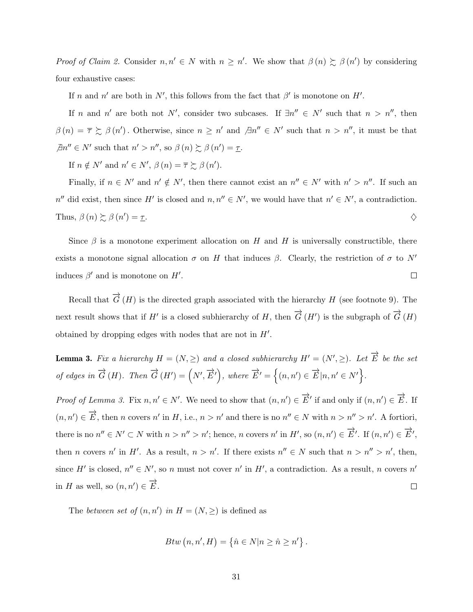Proof of Claim 2. Consider  $n, n' \in N$  with  $n \geq n'$ . We show that  $\beta(n) \succeq \beta(n')$  by considering four exhaustive cases:

If n and n' are both in N', this follows from the fact that  $\beta'$  is monotone on H'.

If n and n' are both not N', consider two subcases. If  $\exists n'' \in N'$  such that  $n > n''$ , then  $\beta(n) = \overline{\tau} \succsim \beta(n')$ . Otherwise, since  $n \geq n'$  and  $\beta n'' \in N'$  such that  $n > n''$ , it must be that  $\exists n'' \in N'$  such that  $n' > n''$ , so  $\beta(n) \succsim \beta(n') = \underline{\tau}$ .

If  $n \notin N'$  and  $n' \in N'$ ,  $\beta(n) = \overline{\tau} \succsim \beta(n')$ .

Finally, if  $n \in N'$  and  $n' \notin N'$ , then there cannot exist an  $n'' \in N'$  with  $n' > n''$ . If such an  $n''$  did exist, then since H' is closed and  $n, n'' \in N'$ , we would have that  $n' \in N'$ , a contradiction. Thus,  $\beta(n) \succsim \beta(n')$ ) =  $\underline{\tau}$ .

Since  $\beta$  is a monotone experiment allocation on H and H is universally constructible, there exists a monotone signal allocation  $\sigma$  on H that induces  $\beta$ . Clearly, the restriction of  $\sigma$  to N' induces  $\beta'$  and is monotone on  $H'$ .  $\Box$ 

Recall that  $\overrightarrow{G}(H)$  is the directed graph associated with the hierarchy H (see footnote 9). The next result shows that if H' is a closed subhierarchy of H, then  $\overrightarrow{G}(H')$  is the subgraph of  $\overrightarrow{G}(H)$ obtained by dropping edges with nodes that are not in  $H'$ .

**Lemma 3.** Fix a hierarchy  $H = (N, \geq)$  and a closed subhierarchy  $H' = (N', \geq)$ . Let  $\overrightarrow{E}$  be the set of edges in  $\overrightarrow{G}(H)$ . Then  $\overrightarrow{G}(H') = (N', \overrightarrow{E}'),$  where  $\overrightarrow{E}' = \{(n, n') \in \overrightarrow{E} | n, n' \in N'\}$ .

Proof of Lemma 3. Fix  $n, n' \in N'$ . We need to show that  $(n, n') \in \overrightarrow{E}'$  if and only if  $(n, n') \in \overrightarrow{E}$ . If  $(n, n') \in \overrightarrow{E}$ , then n covers n' in H, i.e.,  $n > n'$  and there is no  $n'' \in N$  with  $n > n'' > n'$ . A fortiori, there is no  $n'' \in N' \subset N$  with  $n > n'' > n'$ ; hence, n covers n' in H', so  $(n, n') \in \overrightarrow{E}'$ . If  $(n, n') \in \overrightarrow{E}'$ , then *n* covers *n'* in *H'*. As a result,  $n > n'$ . If there exists  $n'' \in N$  such that  $n > n'' > n'$ , then, since H' is closed,  $n'' \in N'$ , so n must not cover n' in H', a contradiction. As a result, n covers n' in H as well, so  $(n, n') \in \overrightarrow{E}$ .  $\Box$ 

The between set of  $(n, n')$  in  $H = (N, \geq)$  is defined as

$$
Btw (n, n', H) = \{ \hat{n} \in N | n \geq \hat{n} \geq n' \} .
$$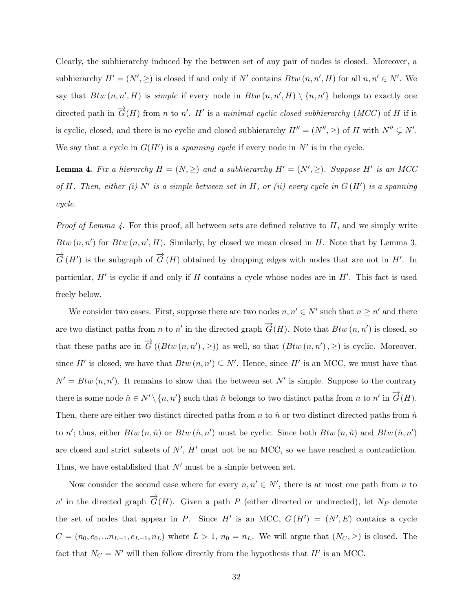Clearly, the subhierarchy induced by the between set of any pair of nodes is closed. Moreover, a subhierarchy  $H' = (N', \geq)$  is closed if and only if N' contains  $Btw$   $(n, n', H)$  for all  $n, n' \in N'$ . We say that  $Btw(n, n', H)$  is simple if every node in  $Btw(n, n', H) \setminus \{n, n'\}$  belongs to exactly one directed path in  $\overrightarrow{G}(H)$  from n to n'. H' is a minimal cyclic closed subhierarchy (MCC) of H if it is cyclic, closed, and there is no cyclic and closed subhierarchy  $H'' = (N'', \geq)$  of H with  $N'' \subsetneq N'$ . We say that a cycle in  $G(H')$  is a spanning cycle if every node in  $N'$  is in the cycle.

**Lemma 4.** Fix a hierarchy  $H = (N, \geq)$  and a subhierarchy  $H' = (N', \geq)$ . Suppose H<sup>t</sup> is an MCC of H. Then, either (i) N' is a simple between set in H, or (ii) every cycle in  $G(H')$  is a spanning cycle.

*Proof of Lemma 4.* For this proof, all between sets are defined relative to  $H$ , and we simply write Btw  $(n, n')$  for Btw  $(n, n', H)$ . Similarly, by closed we mean closed in H. Note that by Lemma 3,  $\vec{G}(H')$  is the subgraph of  $\vec{G}(H)$  obtained by dropping edges with nodes that are not in H'. In particular,  $H'$  is cyclic if and only if  $H$  contains a cycle whose nodes are in  $H'$ . This fact is used freely below.

We consider two cases. First, suppose there are two nodes  $n, n' \in N'$  such that  $n \geq n'$  and there are two distinct paths from n to n' in the directed graph  $\overrightarrow{G}(H)$ . Note that  $Btw(n, n')$  is closed, so that these paths are in  $\overrightarrow{G}((Btw(n,n'),\geq))$  as well, so that  $(Btw(n,n'),\geq)$  is cyclic. Moreover, since H' is closed, we have that  $Btw (n, n') \subseteq N'$ . Hence, since H' is an MCC, we must have that  $N' = B t w (n, n')$ . It remains to show that the between set N' is simple. Suppose to the contrary there is some node  $\hat{n} \in N' \setminus \{n, n'\}$  such that  $\hat{n}$  belongs to two distinct paths from n to n' in  $\overrightarrow{G}(H)$ . Then, there are either two distinct directed paths from n to  $\hat{n}$  or two distinct directed paths from  $\hat{n}$ to n'; thus, either  $Btw(n, \hat{n})$  or  $Btw(\hat{n}, n')$  must be cyclic. Since both  $Btw(n, \hat{n})$  and  $Btw(\hat{n}, n')$ are closed and strict subsets of  $N'$ ,  $H'$  must not be an MCC, so we have reached a contradiction. Thus, we have established that  $N'$  must be a simple between set.

Now consider the second case where for every  $n, n' \in N'$ , there is at most one path from n to n' in the directed graph  $\overrightarrow{G}(H)$ . Given a path P (either directed or undirected), let N<sub>P</sub> denote the set of nodes that appear in P. Since H' is an MCC,  $G(H') = (N', E)$  contains a cycle  $C = (n_0, e_0, ... n_{L-1}, e_{L-1}, n_L)$  where  $L > 1$ ,  $n_0 = n_L$ . We will argue that  $(N_C, \geq)$  is closed. The fact that  $N_C = N'$  will then follow directly from the hypothesis that  $H'$  is an MCC.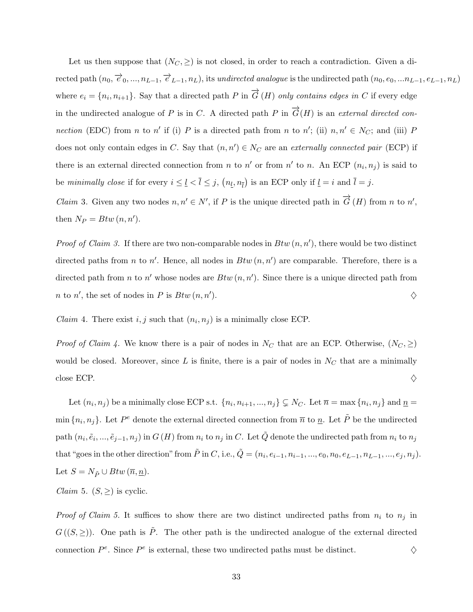Let us then suppose that  $(N_C, \geq)$  is not closed, in order to reach a contradiction. Given a di- $\text{rected path}$   $(n_0, \overrightarrow{e}_0, ..., n_{L-1}, \overrightarrow{e}_{L-1}, n_L)$ , its undirected analogue is the undirected path  $(n_0, e_0, ... n_{L-1}, e_{L-1}, n_L)$ where  $e_i = \{n_i, n_{i+1}\}\$ . Say that a directed path P in  $\overrightarrow{G}(H)$  only contains edges in C if every edge in the undirected analogue of P is in C. A directed path P in  $\overrightarrow{G}(H)$  is an external directed connection (EDC) from n to n' if (i) P is a directed path from n to n'; (ii)  $n, n' \in N_C$ ; and (iii) P does not only contain edges in C. Say that  $(n, n') \in N_C$  are an externally connected pair (ECP) if there is an external directed connection from n to n' or from  $n'$  to n. An ECP  $(n_i, n_j)$  is said to be minimally close if for every  $i \leq \underline{l} < \overline{l} \leq j$ ,  $(n_{\underline{l}}, n_{\overline{l}})$  is an ECP only if  $\underline{l} = i$  and  $\overline{l} = j$ . *Claim* 3. Given any two nodes  $n, n' \in N'$ , if P is the unique directed path in  $\overrightarrow{G}(H)$  from n to n', then  $N_P = Btw (n, n').$ 

*Proof of Claim 3.* If there are two non-comparable nodes in  $Btw(n, n')$ , there would be two distinct directed paths from *n* to *n'*. Hence, all nodes in  $Btw(n, n')$  are comparable. Therefore, there is a directed path from *n* to *n'* whose nodes are  $Btw(n, n')$ . Since there is a unique directed path from *n* to *n'*, the set of nodes in *P* is  $Btw(n, n'$ ).  $\diamondsuit$ 

*Claim* 4. There exist  $i, j$  such that  $(n_i, n_j)$  is a minimally close ECP.

*Proof of Claim 4.* We know there is a pair of nodes in  $N_C$  that are an ECP. Otherwise,  $(N_C, \geq)$ would be closed. Moreover, since  $L$  is finite, there is a pair of nodes in  $N_C$  that are a minimally close ECP.  $\Diamond$ 

Let  $(n_i, n_j)$  be a minimally close ECP s.t.  $\{n_i, n_{i+1}, ..., n_j\} \subsetneq N_C$ . Let  $\overline{n} = \max\{n_i, n_j\}$  and  $\underline{n} =$ min  $\{n_i, n_j\}$ . Let  $P^e$  denote the external directed connection from  $\overline{n}$  to  $\underline{n}$ . Let  $\tilde{P}$  be the undirected path  $(n_i, \tilde{e}_i, ..., \tilde{e}_{j-1}, n_j)$  in  $G(H)$  from  $n_i$  to  $n_j$  in C. Let  $\tilde{Q}$  denote the undirected path from  $n_i$  to  $n_j$ that "goes in the other direction" from  $\tilde{P}$  in C, i.e.,  $\tilde{Q} = (n_i, e_{i-1}, n_{i-1}, ..., e_0, n_0, e_{L-1}, n_{L-1}, ..., e_j, n_j)$ . Let  $S = N_{\tilde{P}} \cup Btw \, (\overline{n}, \underline{n}).$ 

*Claim* 5.  $(S, \geq)$  is cyclic.

*Proof of Claim 5.* It suffices to show there are two distinct undirected paths from  $n_i$  to  $n_j$  in  $G((S, \geq))$ . One path is  $\tilde{P}$ . The other path is the undirected analogue of the external directed connection  $P^e$ . Since  $P^e$  is external, these two undirected paths must be distinct.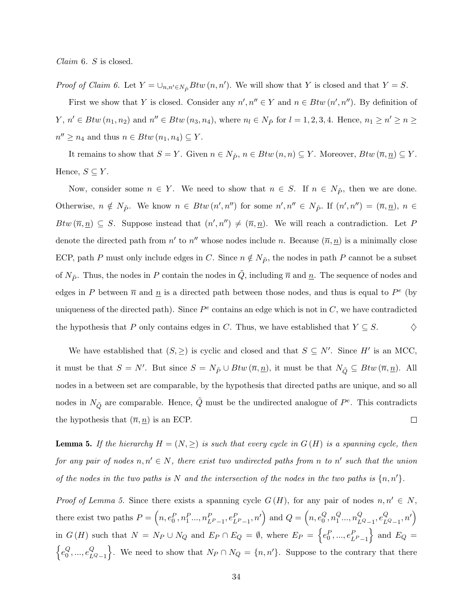Claim 6. S is closed.

*Proof of Claim 6.* Let  $Y = \bigcup_{n,n' \in N_{\tilde{P}}} Btw (n, n')$ . We will show that Y is closed and that  $Y = S$ .

First we show that Y is closed. Consider any  $n', n'' \in Y$  and  $n \in Btw (n', n'')$ . By definition of  $Y, n' \in Btw(n_1, n_2)$  and  $n'' \in Btw(n_3, n_4)$ , where  $n_l \in N_{\tilde{P}}$  for  $l = 1, 2, 3, 4$ . Hence,  $n_1 \geq n' \geq n \geq 3$  $n'' \geq n_4$  and thus  $n \in Btw(n_1, n_4) \subseteq Y$ .

It remains to show that  $S = Y$ . Given  $n \in N_{\tilde{P}}$ ,  $n \in Btw(n, n) \subseteq Y$ . Moreover,  $Btw(\overline{n}, \underline{n}) \subseteq Y$ . Hence,  $S \subseteq Y$ .

Now, consider some  $n \in Y$ . We need to show that  $n \in S$ . If  $n \in N_{\tilde{P}}$ , then we are done. Otherwise,  $n \notin N_{\tilde{P}}$ . We know  $n \in Btw (n', n'')$  for some  $n', n'' \in N_{\tilde{P}}$ . If  $(n', n'') = (\overline{n}, \underline{n})$ ,  $n \in$ Btw  $(\overline{n}, \underline{n}) \subseteq S$ . Suppose instead that  $(n', n'') \neq (\overline{n}, \underline{n})$ . We will reach a contradiction. Let P denote the directed path from  $n'$  to  $n''$  whose nodes include n. Because  $(\overline{n}, \underline{n})$  is a minimally close ECP, path P must only include edges in C. Since  $n \notin N_{\tilde{P}}$ , the nodes in path P cannot be a subset of  $N_{\tilde{P}}$ . Thus, the nodes in P contain the nodes in  $\tilde{Q}$ , including  $\bar{n}$  and  $\underline{n}$ . The sequence of nodes and edges in P between  $\bar{n}$  and  $\underline{n}$  is a directed path between those nodes, and thus is equal to  $P^e$  (by uniqueness of the directed path). Since  $P^e$  contains an edge which is not in  $C$ , we have contradicted the hypothesis that P only contains edges in C. Thus, we have established that  $Y \subseteq S$ .  $\Diamond$ 

We have established that  $(S, \geq)$  is cyclic and closed and that  $S \subseteq N'$ . Since H' is an MCC, it must be that  $S = N'$ . But since  $S = N_{\tilde{P}} \cup Btw (\overline{n}, \underline{n})$ , it must be that  $N_{\tilde{Q}} \subseteq Btw (\overline{n}, \underline{n})$ . All nodes in a between set are comparable, by the hypothesis that directed paths are unique, and so all nodes in  $N_{\tilde{Q}}$  are comparable. Hence,  $\tilde{Q}$  must be the undirected analogue of  $P^e$ . This contradicts the hypothesis that  $(\overline{n}, n)$  is an ECP.  $\Box$ 

**Lemma 5.** If the hierarchy  $H = (N, \geq)$  is such that every cycle in  $G(H)$  is a spanning cycle, then for any pair of nodes  $n, n' \in N$ , there exist two undirected paths from n to n' such that the union of the nodes in the two paths is N and the intersection of the nodes in the two paths is  $\{n, n'\}$ .

*Proof of Lemma 5.* Since there exists a spanning cycle  $G(H)$ , for any pair of nodes  $n, n' \in N$ , there exist two paths  $P = \left(n, e_0^P, n_1^P..., n_{L^P-1}^P, e_{L^P-1}^P, n'\right)$  and  $Q = \left(n, e_0^Q\right)$  $\frac{Q}{0}, n_1^Q$  $_{1}^{Q}...$ ,  $n_{L}^{Q}$  $_{LQ_{-1}}^{Q},e_{L}^{Q}$  $_{LQ_{-1}}^{Q},n'\Big)$ in  $G(H)$  such that  $N = N_P \cup N_Q$  and  $E_P \cap E_Q = \emptyset$ , where  $E_P = \{e_0^P, ..., e_{L^P-1}^P\}$  and  $E_Q =$  $\big\{e_0^Q$  $_0^Q, ..., e_L^Q$  $\{C_{LQ-1}\}\right$ . We need to show that  $N_P \cap N_Q = \{n, n'\}$ . Suppose to the contrary that there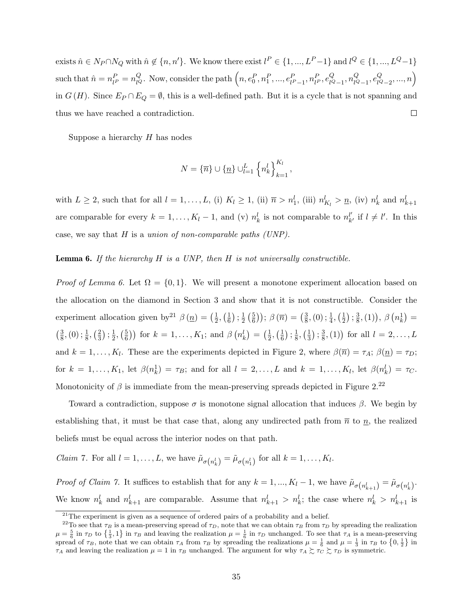exists  $\hat{n} \in N_P \cap N_Q$  with  $\hat{n} \notin \{n, n'\}$ . We know there exist  $l^P \in \{1, ..., L^P-1\}$  and  $l^Q \in \{1, ..., L^Q-1\}$ such that  $\hat{n} = n_{l}^P = n_{lQ}^Q$ . Now, consider the path  $\left(n, e_0^P, n_1^P, ..., e_{l^P-1}^P, n_{l^P}^P, e_{lQ}^Q, n_1^P, ..., n_{l^P}^P, \ldots, n_{l^P}^P, \ldots, n_{l^P}^P, \ldots, n_{l^P}^P, \ldots, n_{l^P}^P, \ldots, n_{l^P}^P, \ldots, n_{l^P}^P, \ldots, n_{l^P}^P, \ldots, n_{l^P}^P$  $\left(\begin{matrix} Q \\ l^Q-2 \end{matrix}\right),...,n\right)$  $_{lQ_{-1}}^{Q}, n_{lQ}^{Q}$  $_{lQ_{-1}}^{Q},e_{lQ}^{Q}$ in  $G(H)$ . Since  $E_P \cap E_Q = \emptyset$ , this is a well-defined path. But it is a cycle that is not spanning and thus we have reached a contradiction.  $\Box$ 

Suppose a hierarchy  $H$  has nodes

$$
N = {\overline{n}} \cup {\underline{n}} \cup {\underline{L}}_1 {\underline{l}}_k^L {\underline{n}}_k^l \Big\}_{k=1}^{K_l},
$$

with  $L \geq 2$ , such that for all  $l = 1, \ldots, L$ , (i)  $K_l \geq 1$ , (ii)  $\overline{n} > n_1^l$ , (iii)  $n_{K_l}^l > \underline{n}$ , (iv)  $n_k^l$  and  $n_{k+1}^l$ are comparable for every  $k = 1, ..., K_l - 1$ , and (v)  $n_k^l$  is not comparable to  $n_k^{l'}$  $_{k}^{l'}$  if  $l \neq l'$ . In this case, we say that  $H$  is a union of non-comparable paths (UNP).

**Lemma 6.** If the hierarchy  $H$  is a UNP, then  $H$  is not universally constructible.

*Proof of Lemma 6.* Let  $\Omega = \{0, 1\}$ . We will present a monotone experiment allocation based on the allocation on the diamond in Section 3 and show that it is not constructible. Consider the experiment allocation given by<sup>21</sup>  $\beta$  (*n*) =  $(\frac{1}{2})$  $\frac{1}{2}, \left(\frac{1}{6}\right)$  $\frac{1}{6}$ ) ;  $\frac{1}{2}$  $rac{1}{2}$   $\left(\frac{5}{6}\right)$  $(\frac{5}{6})$ );  $\beta(\overline{n}) = (\frac{3}{8})$  $\frac{3}{8}$ , (0) ;  $\frac{1}{4}$ , ( $\frac{1}{2}$ )  $\frac{1}{2}$ ) ;  $\frac{3}{8}$  $(\frac{3}{8}, (1)), \ \beta\left(n_k^1\right) =$  $\left(\frac{3}{8}\right)$  $\frac{3}{8}$ , (0) ;  $\frac{1}{8}$ , ( $\frac{2}{3}$ )  $\frac{2}{3}$ ) ;  $\frac{1}{2}$  $\frac{1}{2}, \left(\frac{5}{6}\right)$  $(\frac{5}{6})$  for  $k = 1, ..., K_1$ ; and  $\beta(n_k^l) = (\frac{1}{2})$  $\frac{1}{2}, \left(\frac{1}{6}\right)$  $\frac{1}{6}$ ) ;  $\frac{1}{8}$  $\frac{1}{8}, \left(\frac{1}{3}\right)$  $\frac{1}{3}$ ) ;  $\frac{3}{8}$  $(\frac{3}{8}, (1))$  for all  $l = 2, ..., L$ and  $k = 1, \ldots, K_l$ . These are the experiments depicted in Figure 2, where  $\beta(\bar{n}) = \tau_A$ ;  $\beta(\underline{n}) = \tau_D$ ; for  $k = 1, ..., K_1$ , let  $\beta(n_k^1) = \tau_B$ ; and for all  $l = 2, ..., L$  and  $k = 1, ..., K_l$ , let  $\beta(n_k^l) = \tau_C$ . Monotonicity of  $\beta$  is immediate from the mean-preserving spreads depicted in Figure 2.<sup>22</sup>

Toward a contradiction, suppose  $\sigma$  is monotone signal allocation that induces  $\beta$ . We begin by establishing that, it must be that case that, along any undirected path from  $\bar{n}$  to  $\underline{n}$ , the realized beliefs must be equal across the interior nodes on that path.

*Claim* 7. For all  $l = 1, ..., L$ , we have  $\tilde{\mu}_{\sigma\left(n_k^l\right)} = \tilde{\mu}_{\sigma\left(n_1^l\right)}$  for all  $k = 1, ..., K_l$ .

Proof of Claim 7. It suffices to establish that for any  $k = 1, ..., K_l - 1$ , we have  $\tilde{\mu}_{\sigma\left(n_{k+1}^l\right)} = \tilde{\mu}_{\sigma\left(n_k^l\right)}$ . We know  $n_k^l$  and  $n_{k+1}^l$  are comparable. Assume that  $n_{k+1}^l > n_k^l$ ; the case where  $n_k^l > n_{k+1}^l$  is

 $21$ The experiment is given as a sequence of ordered pairs of a probability and a belief.

<sup>&</sup>lt;sup>22</sup>To see that  $\tau_B$  is a mean-preserving spread of  $\tau_D$ , note that we can obtain  $\tau_B$  from  $\tau_D$  by spreading the realization  $\mu = \frac{5}{6}$  in  $\tau_D$  to  $\{\frac{1}{3},1\}$  in  $\tau_B$  and leaving the realization  $\mu = \frac{1}{6}$  in  $\tau_D$  unchanged. To see that  $\tau_A$  is a mean-preserving spread of  $\tau_B$ , note that we can obtain  $\tau_A$  from  $\tau_B$  by spreading the realizations  $\mu = \frac{1}{6}$  and  $\mu = \frac{1}{3}$  in  $\tau_B$  to  $\{0, \frac{1}{2}\}$  in  $\tau_A$  and leaving the realization  $\mu = 1$  in  $\tau_B$  unchanged. The argument for why  $\tau_A \succeq \tau_C \succeq \tau_D$  is symmetric.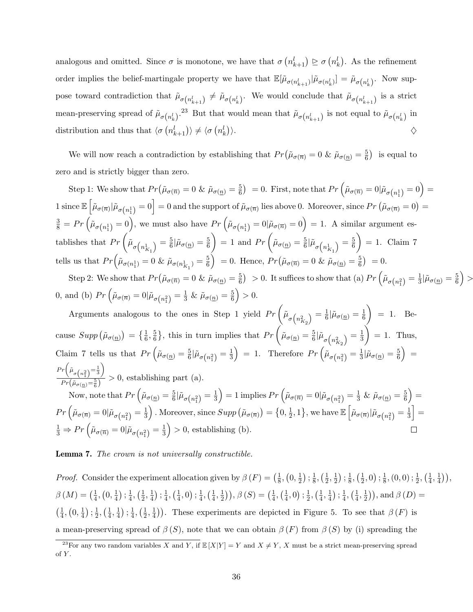analogous and omitted. Since  $\sigma$  is monotone, we have that  $\sigma(n_{k+1}^l) \ge \sigma(n_k^l)$ . As the refinement order implies the belief-martingale property we have that  $\mathbb{E}[\tilde{\mu}_{\sigma(n_{k+1}^l)}|\tilde{\mu}_{\sigma(n_k^l)}] = \tilde{\mu}_{\sigma(n_k^l)}$ . Now suppose toward contradiction that  $\tilde{\mu}_{\sigma(n_{k+1}^l)} \neq \tilde{\mu}_{\sigma(n_k^l)}$ . We would conclude that  $\tilde{\mu}_{\sigma(n_{k+1}^l)}$  is a strict mean-preserving spread of  $\tilde{\mu}_{\sigma(n_k^l)}$ .<sup>23</sup> But that would mean that  $\tilde{\mu}_{\sigma(n_{k+1}^l)}$  is not equal to  $\tilde{\mu}_{\sigma(n_k^l)}$  in distribution and thus that  $\langle \sigma (n_{k+1}^l) \rangle \neq \langle \sigma (n_k^l) \rangle$ ).  $\diamondsuit$ 

We will now reach a contradiction by establishing that  $Pr(\tilde{\mu}_{\sigma(\overline{n})}=0 \& \tilde{\mu}_{\sigma(\underline{n})}=\frac{5}{6})$  $\left(\frac{5}{6}\right)$  is equal to zero and is strictly bigger than zero.

Step 1: We show that  $Pr(\tilde{\mu}_{\sigma(\overline{n})}=0 \& \tilde{\mu}_{\sigma(n)}=\frac{5}{6})$  $\left(\frac{5}{6}\right)^5 = 0. \text{ First, note that } Pr\left(\tilde{\mu}_{\sigma(\overline{n})} = 0 | \tilde{\mu}_{\sigma\left(n^1_1\right)} = 0\right) = 0.$  $1 \text{ since } \mathbb{E}\left[\tilde{\mu}_{\sigma(\overline{n})}|\tilde{\mu}_{\sigma(n_1^1)}=0\right]=0 \text{ and the support of }\tilde{\mu}_{\sigma(\overline{n})}\text{ lies above }0. \text{ Moreover, since }Pr\left(\tilde{\mu}_{\sigma(\overline{n})}=0\right)=0.$  $\frac{3}{8} = Pr\left(\tilde{\mu}_{\sigma\left(n_{1}^{1}\right)}=0\right)$ , we must also have  $Pr\left(\tilde{\mu}_{\sigma\left(n_{1}^{1}\right)}=0|\tilde{\mu}_{\sigma\left(\overline{n}\right)}=0\right) = 1$ . A similar argument establishes that  $Pr\left(\tilde{\mu}_{\sigma\left(n_{K_1}^1\right)} = \frac{5}{6}\right)$  $\frac{5}{6}$ | $\tilde{\mu}_{\sigma(\underline{n})} = \frac{5}{6}$ 6  $= 1$  and  $Pr \left( \tilde{\mu}_{\sigma(n)} = \frac{5}{6} \right)$  $\frac{5}{6}|\tilde{\mu}_{\sigma\left(n_{K_1}^1\right)}=\frac{5}{6}$ 6  $= 1.$  Claim 7 tells us that  $Pr\left(\tilde{\mu}_{\sigma(n_1^1)}=0 \& \tilde{\mu}_{\sigma(n_{K_1}^1)}=\frac{5}{6}\right)$  $\left(\frac{5}{6}\right)$  = 0. Hence,  $Pr\left(\tilde{\mu}_{\sigma(\overline{n})}=0 \& \tilde{\mu}_{\sigma(\underline{n})}=\frac{5}{6}\right)$  $\frac{5}{6}$  = 0.

Step 2: We show that  $Pr(\tilde{\mu}_{\sigma(\overline{n})}=0 \& \tilde{\mu}_{\sigma(n)}=\frac{5}{6})$  $\left(\frac{5}{6}\right) > 0$ . It suffices to show that (a)  $Pr\left(\tilde{\mu}_{\sigma\left(n_{1}^{2}\right)} = \frac{1}{3}\right)$  $\frac{1}{3}$ | $\tilde{\mu}_{\sigma(\underline{n})} = \frac{5}{6}$  $\left(\frac{5}{6}\right) >$ 0, and (b)  $Pr\left(\tilde{\mu}_{\sigma(\overline{n})}=0|\tilde{\mu}_{\sigma(n_1^2)}=\frac{1}{3} \& \tilde{\mu}_{\sigma(\underline{n})}=\frac{5}{6} \right)$  $\frac{5}{6}$  > 0.

Arguments analogous to the ones in Step 1 yield  $Pr\left(\tilde{\mu}_{\sigma\left(n_{K_2}^2\right)} = \frac{1}{6}\right)$  $\frac{1}{6}|\tilde{\mu}_{\sigma(\underline{n})}=\frac{1}{6}$ 6  $= 1.$  Because  $Supp(\tilde{\mu}_{\sigma(\underline{n})}) = \{\frac{1}{6}, \frac{5}{6}\}$  $\left\{\frac{5}{6}\right\}$ , this in turn implies that  $Pr\left(\tilde{\mu}_{\sigma(\underline{n})}=\frac{5}{6}\right)$  $\frac{5}{6}|\tilde{\mu}_{\sigma\left(n_{K_{2}}^{2}\right)}=\frac{1}{3}% \sum_{k=1}^{\infty}\left\vert k_{k}\right\vert ^{2}$ 3  $= 1.$  Thus, Claim 7 tells us that  $Pr\left(\tilde{\mu}_{\sigma(n)} = \frac{5}{6}\right)$  $\frac{5}{6}$ | $\tilde{\mu}_{\sigma\left(n_{1}^{2}\right)}=\frac{1}{3}$  $\frac{1}{3}$  = 1. Therefore  $Pr\left(\tilde{\mu}_{\sigma(n_1^2)} = \frac{1}{3}\right)$  $\frac{1}{3}|\tilde{\mu}_{\sigma(\underline{n})}=\frac{5}{6}$  $\left(\frac{5}{6}\right)$  =  $Pr\bigg(\tilde{\mu}_{\sigma\left(n_{1}^{2}\right)}=\frac{1}{3}$  $\setminus$  $\frac{\sqrt{\sigma(n_1 - \sigma)} }{Pr(\tilde{\mu}_{\sigma(n)} = \frac{5}{6})} > 0$ , establishing part (a).  $\frac{\mu_{\sigma(n)} - \varepsilon}{\text{Now, note that}} Pr\left(\tilde{\mu}_{\sigma(n)} = \frac{5}{6}\right)$  $\frac{1}{3}$  = 1 implies  $Pr\left(\tilde{\mu}_{\sigma(\overline{n})} = 0 | \tilde{\mu}_{\sigma(n_1^2)} = \frac{1}{3} \& \tilde{\mu}_{\sigma(\underline{n})} = \frac{5}{6}$  $(\frac{5}{6}) =$ 

 $\frac{5}{6}$ | $\tilde{\mu}_{\sigma\left(n_{1}^{2}\right)}=\frac{1}{3}$  $Pr\left(\tilde{\mu}_{\sigma(\overline{n})}=0|\tilde{\mu}_{\sigma\left(n_{1}^{2}\right)}=\frac{1}{3}\right)$  $\frac{1}{3}$ ). Moreover, since  $Supp(\tilde{\mu}_{\sigma(\overline{n})}) = \{0, \frac{1}{2}\}$  $\frac{1}{2}$ , 1 }, we have  $\mathbb{E}\left[\tilde{\mu}_{\sigma(\overline{n})}|\tilde{\mu}_{\sigma\left(n_{1}^{2}\right)}=\frac{1}{3}\right]$  $\frac{1}{3}$  =  $\frac{1}{3} \Rightarrow Pr\left(\tilde{\mu}_{\sigma(\overline{n})} = 0 | \tilde{\mu}_{\sigma(n_1^2)} = \frac{1}{3}\right)$  $\frac{1}{3}$  > 0, establishing (b).  $\Box$ 

Lemma 7. The crown is not universally constructible.

*Proof.* Consider the experiment allocation given by  $\beta(F) = \left(\frac{1}{8}\right)^2$  $\frac{1}{8}$ ,  $\left(0, \frac{1}{2}\right)$  $\frac{1}{2}$ ) ;  $\frac{1}{8}$  $\frac{1}{8}, \left(\frac{1}{2}\right)$  $\frac{1}{2}, \frac{1}{2}$  $\frac{1}{2}$ ) ;  $\frac{1}{8}$  $\frac{1}{8}, \left(\frac{1}{2}\right)$  $(\frac{1}{2}, 0); \frac{1}{8}$  $\frac{1}{8}$ ,  $(0, 0)$ ;  $\frac{1}{2}$ ,  $(\frac{1}{4})$  $\frac{1}{4}, \frac{1}{4}$  $\frac{1}{4})$ ),  $\beta\left(M\right)=\left(\frac{1}{4}\right)$  $\frac{1}{4}$ ,  $\left(0, \frac{1}{4}\right)$  $\frac{1}{4}$ ) ;  $\frac{1}{4}$  $\frac{1}{4}, (\frac{1}{2})$  $\frac{1}{2}, \frac{1}{4}$  $\frac{1}{4}$ ) ;  $\frac{1}{4}$  $\frac{1}{4}$ ,  $\left(\frac{1}{4}\right)$  $(\frac{1}{4},0);\frac{1}{4}$  $\frac{1}{4}, (\frac{1}{4})$  $\frac{1}{4}, \frac{1}{2}$  $(\frac{1}{2})$ ,  $\beta(S) = (\frac{1}{4})$  $\frac{1}{4}, (\frac{1}{4})$  $(\frac{1}{4}, 0); \frac{1}{2}$  $\frac{1}{2}, (\frac{1}{4})$  $\frac{1}{4}, \frac{1}{4}$  $\frac{1}{4}$ ) ;  $\frac{1}{4}$  $\frac{1}{4}, (\frac{1}{4})$  $\frac{1}{4}, \frac{1}{2}$  $(\frac{1}{2})$ , and  $\beta(D)$  =  $\left(\frac{1}{4}\right)$  $\frac{1}{4}$ ,  $\left(0, \frac{1}{4}\right)$  $\frac{1}{4}$ ) ;  $\frac{1}{2}$  $\frac{1}{2}, (\frac{1}{4})$  $\frac{1}{4}, \frac{1}{4}$  $\frac{1}{4}$ ) ;  $\frac{1}{4}$  $\frac{1}{4}, (\frac{1}{2})$  $\frac{1}{2}, \frac{1}{4}$  $(\frac{1}{4})$ ). These experiments are depicted in Figure 5. To see that  $\beta(F)$  is a mean-preserving spread of  $\beta(S)$ , note that we can obtain  $\beta(F)$  from  $\beta(S)$  by (i) spreading the

<sup>&</sup>lt;sup>23</sup>For any two random variables X and Y, if  $\mathbb{E}[X|Y] = Y$  and  $X \neq Y$ , X must be a strict mean-preserving spread of Y .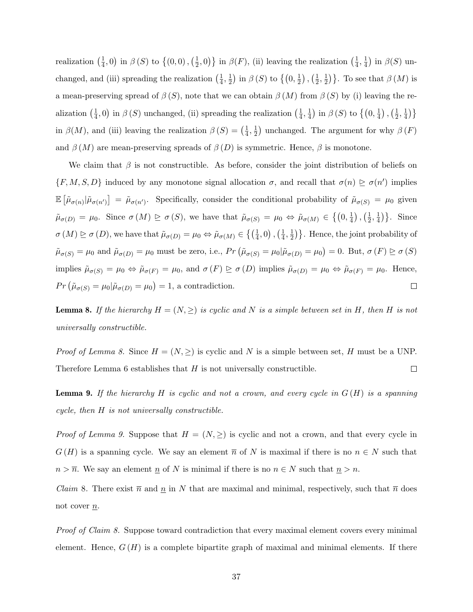realization  $\left(\frac{1}{4}\right)$  $\frac{1}{4}$ , 0) in  $\beta(S)$  to  $\left\{ \left(0,0\right),\left(\frac{1}{2}\right)$  $(\frac{1}{2},0)\}$  in  $\beta(F)$ , (ii) leaving the realization  $(\frac{1}{4})$  $\frac{1}{4}, \frac{1}{4}$  $\frac{1}{4}$ ) in  $\beta(S)$  unchanged, and (iii) spreading the realization  $\left(\frac{1}{4}\right)$  $\frac{1}{4}, \frac{1}{2}$  $\frac{1}{2}$ ) in  $\beta\left(S\right)$  to  $\left\{\left(0, \frac{1}{2}\right)$  $\frac{1}{2}$ ),  $(\frac{1}{2})$  $\frac{1}{2}, \frac{1}{2}$  $\frac{1}{2}$ }. To see that  $\beta(M)$  is a mean-preserving spread of  $\beta(S)$ , note that we can obtain  $\beta(M)$  from  $\beta(S)$  by (i) leaving the realization  $\left(\frac{1}{4}\right)$  $(\frac{1}{4},0)$  in  $\beta(S)$  unchanged, (ii) spreading the realization  $(\frac{1}{4})$  $\frac{1}{4}, \frac{1}{4}$  $\frac{1}{4}$ ) in  $\beta\left(S\right)$  to  $\left\{\left(0, \frac{1}{4}\right)$  $(\frac{1}{4})$ ,  $(\frac{1}{2})$  $\frac{1}{2}, \frac{1}{4}$  $\frac{1}{4})\}$ in  $\beta(M)$ , and (iii) leaving the realization  $\beta(S) = \left(\frac{1}{4}\right)$  $\frac{1}{4}, \frac{1}{2}$  $\frac{1}{2}$ ) unchanged. The argument for why  $\beta(F)$ and  $\beta(M)$  are mean-preserving spreads of  $\beta(D)$  is symmetric. Hence,  $\beta$  is monotone.

We claim that  $\beta$  is not constructible. As before, consider the joint distribution of beliefs on  $\{F, M, S, D\}$  induced by any monotone signal allocation  $\sigma$ , and recall that  $\sigma(n) \geq \sigma(n')$  implies  $\mathbb{E}\left[\tilde{\mu}_{\sigma(n)}|\tilde{\mu}_{\sigma(n')}\right] = \tilde{\mu}_{\sigma(n')}$ . Specifically, consider the conditional probability of  $\tilde{\mu}_{\sigma(S)} = \mu_0$  given  $\tilde{\mu}_{\sigma(D)} = \mu_0$ . Since  $\sigma(M) \ge \sigma(S)$ , we have that  $\tilde{\mu}_{\sigma(S)} = \mu_0 \Leftrightarrow \tilde{\mu}_{\sigma(M)} \in \{(0, \frac{1}{4})$  $(\frac{1}{4})$ ,  $(\frac{1}{2})$  $\frac{1}{2}, \frac{1}{4}$  $\frac{1}{4}$ }. Since  $\sigma(M) \trianglerighteq \sigma(D)$ , we have that  $\tilde{\mu}_{\sigma(D)} = \mu_0 \Leftrightarrow \tilde{\mu}_{\sigma(M)} \in \left\{ \left( \frac{1}{4}, 0 \right), \left( \frac{1}{4}, \frac{1}{4} \right) \right\}$  $\frac{1}{4}, \frac{1}{2}$  $\left(\frac{1}{2}\right)$ . Hence, the joint probability of  $\tilde{\mu}_{\sigma(S)} = \mu_0$  and  $\tilde{\mu}_{\sigma(D)} = \mu_0$  must be zero, i.e.,  $Pr(\tilde{\mu}_{\sigma(S)} = \mu_0 | \tilde{\mu}_{\sigma(D)} = \mu_0) = 0$ . But,  $\sigma(F) \ge \sigma(S)$ implies  $\tilde{\mu}_{\sigma(S)} = \mu_0 \Leftrightarrow \tilde{\mu}_{\sigma(F)} = \mu_0$ , and  $\sigma(F) \ge \sigma(D)$  implies  $\tilde{\mu}_{\sigma(D)} = \mu_0 \Leftrightarrow \tilde{\mu}_{\sigma(F)} = \mu_0$ . Hence,  $Pr\left(\tilde{\mu}_{\sigma(S)} = \mu_0 | \tilde{\mu}_{\sigma(D)} = \mu_0\right) = 1$ , a contradiction.  $\Box$ 

**Lemma 8.** If the hierarchy  $H = (N, \geq)$  is cyclic and N is a simple between set in H, then H is not universally constructible.

*Proof of Lemma 8.* Since  $H = (N, \geq)$  is cyclic and N is a simple between set, H must be a UNP. Therefore Lemma  $6$  establishes that  $H$  is not universally constructible.  $\Box$ 

**Lemma 9.** If the hierarchy H is cyclic and not a crown, and every cycle in  $G(H)$  is a spanning cycle, then H is not universally constructible.

*Proof of Lemma 9.* Suppose that  $H = (N, \geq)$  is cyclic and not a crown, and that every cycle in  $G(H)$  is a spanning cycle. We say an element  $\overline{n}$  of N is maximal if there is no  $n \in N$  such that  $n > \overline{n}$ . We say an element  $\underline{n}$  of N is minimal if there is no  $n \in N$  such that  $\underline{n} > n$ .

*Claim* 8. There exist  $\bar{n}$  and  $\underline{n}$  in N that are maximal and minimal, respectively, such that  $\bar{n}$  does not cover  $n$ .

Proof of Claim 8. Suppose toward contradiction that every maximal element covers every minimal element. Hence,  $G(H)$  is a complete bipartite graph of maximal and minimal elements. If there